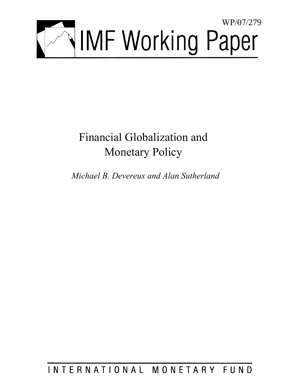

# Financial Globalization and Monetary Policy

*Michael B. Devereux and Alan Sutherland* 

INTERNATIONAL MONETARY FUND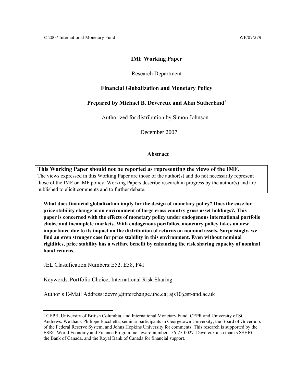## **IMF Working Paper**

## Research Department

## **Financial Globalization and Monetary Policy**

## **Prepared by Michael B. Devereux and Alan Sutherland<sup>1</sup>**

Authorized for distribution by Simon Johnson

December 2007

## **Abstract**

**This Working Paper should not be reported as representing the views of the IMF.** The views expressed in this Working Paper are those of the author(s) and do not necessarily represent those of the IMF or IMF policy. Working Papers describe research in progress by the author(s) and are published to elicit comments and to further debate.

**What does financial globalization imply for the design of monetary policy? Does the case for price stability change in an environment of large cross country gross asset holdings?. This paper is concerned with the effects of monetary policy under endogenous international portfolio choice and incomplete markets. With endogenous portfolios, monetary policy takes on new importance due to its impact on the distribution of returns on nominal assets. Surprisingly, we find an even stronger case for price stability in this environment. Even without nominal rigidities, price stability has a welfare benefit by enhancing the risk sharing capacity of nominal bond returns.**

JEL Classification Numbers: E52, E58, F41

 $\overline{a}$ 

Keywords: Portfolio Choice, International Risk Sharing

Author's E-Mail Address: devm@interchange.ubc.ca; ajs10@st-and.ac.uk

<sup>&</sup>lt;sup>1</sup> CEPR, University of British Columbia, and International Monetary Fund. CEPR and University of St Andrews. We thank Philippe Bacchetta, seminar participants in Georgetown University, the Board of Governors of the Federal Reserve System, and Johns Hopkins University for comments. This research is supported by the ESRC World Economy and Finance Programme, award number 156-25-0027. Devereux also thanks SSHRC, the Bank of Canada, and the Royal Bank of Canada for financial support.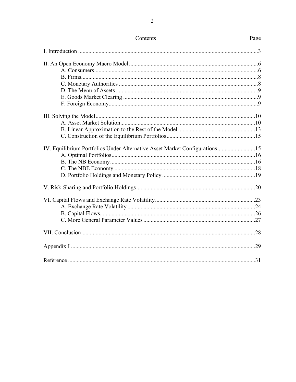| IV. Equilibrium Portfolios Under Alternative Asset Market Configurations15 |     |
|----------------------------------------------------------------------------|-----|
|                                                                            |     |
|                                                                            |     |
|                                                                            |     |
|                                                                            |     |
|                                                                            |     |
|                                                                            |     |
|                                                                            |     |
|                                                                            |     |
|                                                                            |     |
|                                                                            |     |
|                                                                            | .29 |
|                                                                            | .31 |

## Contents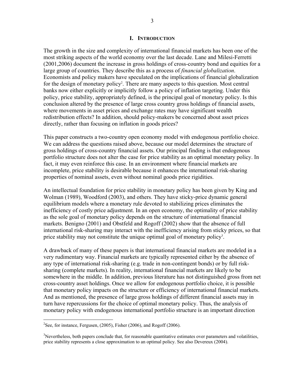## **I. INTRODUCTION**

The growth in the size and complexity of international financial markets has been one of the most striking aspects of the world economy over the last decade. Lane and Milesi-Ferretti (2001,2006) document the increase in gross holdings of cross-country bond and equities for a large group of countries. They describe this as a process of *financial globalization*. Economists and policy makers have speculated on the implications of financial globalization for the design of monetary policy<sup>2</sup>. There are many aspects to this question. Most central banks now either explicitly or implicitly follow a policy of inflation targeting. Under this policy, price stability, appropriately defined, is the principal goal of monetary policy. Is this conclusion altered by the presence of large cross country gross holdings of financial assets, where movements in asset prices and exchange rates may have significant wealth redistribution effects? In addition, should policy-makers be concerned about asset prices directly, rather than focusing on inflation in goods prices?

This paper constructs a two-country open economy model with endogenous portfolio choice. We can address the questions raised above, because our model determines the structure of gross holdings of cross-country financial assets. Our principal finding is that endogenous portfolio structure does not alter the case for price stability as an optimal monetary policy. In fact, it may even reinforce this case. In an environment where financial markets are incomplete, price stability is desirable because it enhances the international risk-sharing properties of nominal assets, even without nominal goods price rigidities.

An intellectual foundation for price stability in monetary policy has been given by King and Wolman (1989), Woodford (2003), and others. They have sticky-price dynamic general equilibrium models where a monetary rule devoted to stabilizing prices eliminates the inefficiency of costly price adjustment. In an open economy, the optimality of price stability as the sole goal of monetary policy depends on the structure of international financial markets. Benigno (2001) and Obstfeld and Rogoff (2002) show that the absence of full international risk-sharing may interact with the inefficiency arising from sticky prices, so that price stability may not constitute the unique optimal goal of monetary policy<sup>3</sup>.

A drawback of many of these papers is that international financial markets are modeled in a very rudimentary way. Financial markets are typically represented either by the absence of any type of international risk-sharing (e.g. trade in non-contingent bonds) or by full risksharing (complete markets). In reality, international financial markets are likely to be somewhere in the middle. In addition, previous literature has not distinguished gross from net cross-country asset holdings. Once we allow for endogenous portfolio choice, it is possible that monetary policy impacts on the structure or efficiency of international financial markets. And as mentioned, the presence of large gross holdings of different financial assets may in turn have repercussions for the choice of optimal monetary policy. Thus, the analysis of monetary policy with endogenous international portfolio structure is an important direction

 $\overline{a}$ 

<sup>&</sup>lt;sup>2</sup>See, for instance, Fergusen,  $(2005)$ , Fisher  $(2006)$ , and Rogoff  $(2006)$ .

<sup>&</sup>lt;sup>3</sup>Nevertheless, both papers conclude that, for reasonable quantitative estimates over parameters and volatilities, price stability represents a close approximation to an optimal policy. See also Devereux (2004).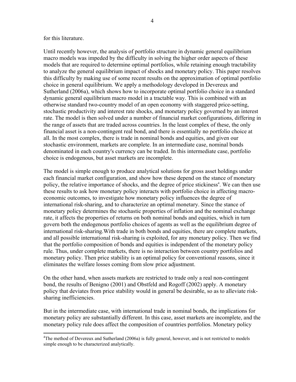## for this literature.

1

Until recently however, the analysis of portfolio structure in dynamic general equilibrium macro models was impeded by the difficulty in solving the higher order aspects of these models that are required to determine optimal portfolios, while retaining enough tractability to analyze the general equilibrium impact of shocks and monetary policy. This paper resolves this difficulty by making use of some recent results on the approximation of optimal portfolio choice in general equilibrium. We apply a methodology developed in Devereux and Sutherland (2006a), which shows how to incorporate optimal portfolio choice in a standard dynamic general equilibrium macro model in a tractable way. This is combined with an otherwise standard two-country model of an open economy with staggered price-setting, stochastic productivity and interest rate shocks, and monetary policy governed by an interest rate. The model is then solved under a number of financial market configurations, differing in the range of assets that are traded across countries. In the least complex of these, the only financial asset is a non-contingent real bond, and there is essentially no portfolio choice at all. In the most complex, there is trade in nominal bonds and equities, and given our stochastic environment, markets are complete. In an intermediate case, nominal bonds denominated in each country's currency can be traded. In this intermediate case, portfolio choice is endogenous, but asset markets are incomplete.

The model is simple enough to produce analytical solutions for gross asset holdings under each financial market configuration, and show how these depend on the stance of monetary policy, the relative importance of shocks, and the degree of price stickiness<sup>4</sup>. We can then use these results to ask how monetary policy interacts with portfolio choice in affecting macroeconomic outcomes, to investigate how monetary policy influences the degree of international risk-sharing, and to characterize an optimal monetary. Since the stance of monetary policy determines the stochastic properties of inflation and the nominal exchange rate, it affects the properties of returns on both nominal bonds and equities, which in turn govern both the endogenous portfolio choices of agents as well as the equilibrium degree of international risk-sharing.With trade in both bonds and equities, there are complete markets, and all possible international risk-sharing is exploited, for any monetary policy. Then we find that the portfolio composition of bonds and equities is independent of the monetary policy rule. Thus, under complete markets, there is no interaction between country portfolios and monetary policy. Then price stability is an optimal policy for conventional reasons, since it eliminates the welfare losses coming from slow price adjustment.

On the other hand, when assets markets are restricted to trade only a real non-contingent bond, the results of Benigno (2001) and Obstfeld and Rogoff (2002) apply. A monetary policy that deviates from price stability would in general be desirable, so as to alleviate risksharing inefficiencies.

But in the intermediate case, with international trade in nominal bonds, the implications for monetary policy are substantially different. In this case, asset markets are incomplete, and the monetary policy rule does affect the composition of countries portfolios. Monetary policy

<sup>&</sup>lt;sup>4</sup>The method of Devereux and Sutherland (2006a) is fully general, however, and is not restricted to models simple enough to be characterized analytically.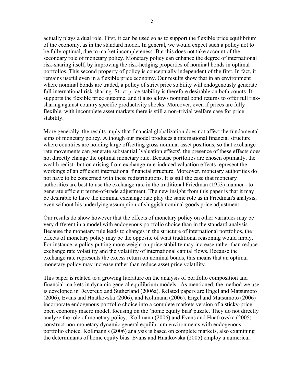actually plays a dual role. First, it can be used so as to support the flexible price equilibrium of the economy, as in the standard model. In general, we would expect such a policy not to be fully optimal, due to market incompleteness. But this does not take account of the secondary role of monetary policy. Monetary policy can enhance the degree of international risk-sharing itself, by improving the risk-hedging properties of nominal bonds in optimal portfolios. This second property of policy is conceptually independent of the first. In fact, it remains useful even in a flexible price economy. Our results show that in an environment where nominal bonds are traded, a policy of strict price stability will endogenously generate full international risk-sharing. Strict price stability is therefore desirable on both counts. It supports the flexible price outcome, and it also allows nominal bond returns to offer full risksharing against country specific productivity shocks. Moreover, even if prices are fully flexible, with incomplete asset markets there is still a non-trivial welfare case for price stability.

More generally, the results imply that financial globalization does not affect the fundamental aims of monetary policy. Although our model produces a international financial structure where countries are holding large offsetting gross nominal asset positions, so that exchange rate movements can generate substantial `valuation effects', the presence of these effects does not directly change the optimal monetary rule. Because portfolios are chosen optimally, the wealth redistribution arising from exchange-rate-induced valuation effects represent the workings of an efficient international financial structure. Moreover, monetary authorities do not have to be concerned with these redistributions. It is still the case that monetary authorities are best to use the exchange rate in the traditional Friedman (1953) manner - to generate efficient terms-of-trade adjustment. The new insight from this paper is that it may be desirable to have the nominal exchange rate play the same role as in Friedman's analysis, even without his underlying assumption of sluggish nominal goods price adjustment.

Our results do show however that the effects of monetary policy on other variables may be very different in a model with endogenous portfolio choice than in the standard analysis. Because the monetary rule leads to changes in the structure of international portfolios, the effects of monetary policy may be the opposite of what traditional reasoning would imply. For instance, a policy putting more weight on price stability may increase rather than reduce exchange rate volatility and the volatility of international capital flows. Because the exchange rate represents the excess return on nominal bonds, this means that an optimal monetary policy may increase rather than reduce asset price volatility.

This paper is related to a growing literature on the analysis of portfolio composition and financial markets in dynamic general equilibrium models. As mentioned, the method we use is developed in Devereux and Sutherland (2006a). Related papers are Engel and Matsumoto (2006), Evans and Hnatkovska (2006), and Kollmann (2006). Engel and Matsumoto (2006) incorporate endogenous portfolio choice into a complete markets version of a sticky-price open economy macro model, focusing on the `home equity bias' puzzle. They do not directly analyze the role of monetary policy. Kollmann (2006) and Evans and Hnatkovska (2005) construct non-monetary dynamic general equilibrium environments with endogenous portfolio choice. Kollmann's (2006) analysis is based on complete markets, also examining the determinants of home equity bias. Evans and Hnatkovska (2005) employ a numerical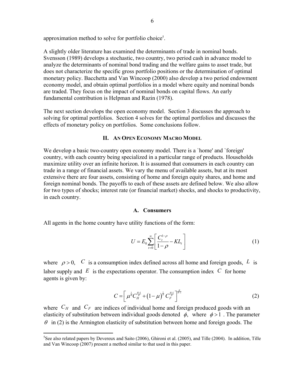approximation method to solve for portfolio choice<sup>5</sup>.

A slightly older literature has examined the determinants of trade in nominal bonds. Svensson (1989) develops a stochastic, two country, two period cash in advance model to analyze the determinants of nominal bond trading and the welfare gains to asset trade, but does not characterize the specific gross portfolio positions or the determination of optimal monetary policy. Bacchetta and Van Wincoop (2000) also develop a two period endowment economy model, and obtain optimal portfolios in a model where equity and nominal bonds are traded. They focus on the impact of nominal bonds on capital flows. An early fundamental contribution is Helpman and Razin (1978).

The next section develops the open economy model. Section 3 discusses the approach to solving for optimal portfolios. Section 4 solves for the optimal portfolios and discusses the effects of monetary policy on portfolios. Some conclusions follow.

## **II. AN OPEN ECONOMY MACRO MODEL**

We develop a basic two-country open economy model. There is a 'home' and 'foreign' country, with each country being specialized in a particular range of products. Households maximize utility over an infinite horizon. It is assumed that consumers in each country can trade in a range of financial assets. We vary the menu of available assets, but at its most extensive there are four assets, consisting of home and foreign equity shares, and home and foreign nominal bonds. The payoffs to each of these assets are defined below. We also allow for two types of shocks; interest rate (or financial market) shocks, and shocks to productivity, in each country.

## **A. Consumers**

All agents in the home country have utility functions of the form:

1

$$
U = E_0 \sum_{t=0}^{\infty} \left[ \frac{C_t^{1-\rho}}{1-\rho} - KL_t \right]
$$
 (1)

where  $\rho > 0$ , *C* is a consumption index defined across all home and foreign goods, *L* is labor supply and  $E$  is the expectations operator. The consumption index  $C$  for home agents is given by:

$$
C = \left[ \mu^{\frac{1}{\theta}} C_H^{\frac{\theta-1}{\theta}} + \left( 1 - \mu \right)^{\frac{1}{\theta}} C_F^{\frac{\theta-1}{\theta}} \right]^{\frac{\theta}{\theta-1}}
$$
(2)

where  $C_H$  and  $C_F$  are indices of individual home and foreign produced goods with an elasticity of substitution between individual goods denoted  $\phi$ , where  $\phi > 1$ . The parameter  $\theta$  in (2) is the Armington elasticity of substitution between home and foreign goods. The

<sup>&</sup>lt;sup>5</sup>See also related papers by Devereux and Saito (2006), Ghironi et al. (2005), and Tille (2004). In addition, Tille and Van Wincoop (2007) present a method similar to that used in this paper.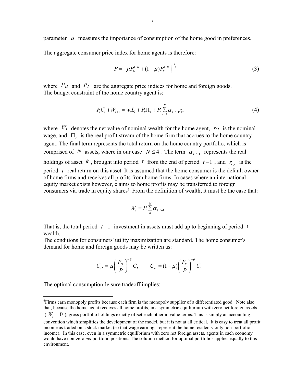parameter  $\mu$  measures the importance of consumption of the home good in preferences.

The aggregate consumer price index for home agents is therefore:

$$
P = \left[ \mu P_H^{1-\theta} + (1-\mu) P_F^{1-\theta} \right]^{1-\theta} \tag{3}
$$

where  $P_H$  and  $P_F$  are the aggregate price indices for home and foreign goods. The budget constraint of the home country agent is:

$$
P_{t}C_{t} + W_{t+1} = w_{t}L_{t} + P_{t}\Pi_{t} + P_{t}\sum_{k=1}^{N}\alpha_{k,t-1}r_{kt}
$$
\n(4)

where  $W_t$  denotes the net value of nominal wealth for the home agent,  $W_t$  is the nominal wage, and Π*t* is the real profit stream of the home firm that accrues to the home country agent. The final term represents the total return on the home country portfolio, which is comprised of *N* assets, where in our case  $N \leq 4$ . The term  $\alpha_{k,t-1}$  represents the real holdings of asset  $k$ , brought into period  $t$  from the end of period  $t-1$ , and  $r_{k}$ , is the period *t* real return on this asset. It is assumed that the home consumer is the default owner of home firms and receives all profits from home firms. In cases where an international equity market exists however, claims to home profits may be transferred to foreign consumers via trade in equity shares<sup>6</sup>. From the definition of wealth, it must be the case that:

$$
W_t = P_t \sum_{k}^{N} \alpha_{k,t-1}
$$

That is, the total period *t* −1 investment in assets must add up to beginning of period *t* wealth.

The conditions for consumers' utility maximization are standard. The home consumer's demand for home and foreign goods may be written as:

$$
C_H = \mu \left(\frac{P_H}{P}\right)^{-\theta} C, \qquad C_F = (1 - \mu) \left(\frac{P_F}{P}\right)^{-\theta} C.
$$

The optimal consumption-leisure tradeoff implies:

 $\overline{a}$ 

<sup>&</sup>lt;sup>6</sup>Firms earn monopoly profits because each firm is the monopoly supplier of a differentiated good. Note also that, because the home agent receives all home profits, in a symmetric equilibrium with zero net foreign assets

<sup>(</sup> $W_t = 0$ ), gross portfolio holdings exactly offset each other in value terms. This is simply an accounting

convention which simplifies the development of the model, but it is not at all critical. It is easy to treat all profit income as traded on a stock market (so that wage earnings represent the home residents' only non-portfolio income). In this case, even in a symmetric equilibrium with zero net foreign assets, agents in each economy would have non-zero *net* portfolio positions. The solution method for optimal portfolios applies equally to this environment.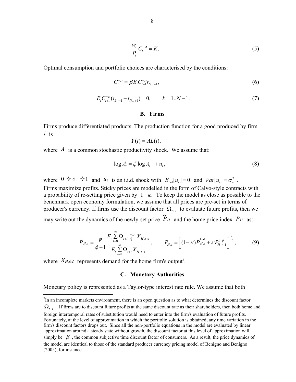$$
\frac{w_t}{P_t}C_t^{-\rho} = K.
$$
\n(5)

Optimal consumption and portfolio choices are characterised by the conditions:

$$
C_t^{-\rho} = \beta E_t C_{t+1}^{-\rho} r_{N,t+1},\tag{6}
$$

$$
EtCt+1-\rho(rk,t+1 - rN,t+1) = 0, \t k = 1..N-1.
$$
\t(7)

## **B. Firms**

Firms produce differentiated products. The production function for a good produced by firm *i* is

$$
Y(i) = AL(i),
$$

where  $\Lambda$  is a common stochastic productivity shock. We assume that:

$$
\log A_t = \zeta \log A_{t-1} + u_t,\tag{8}
$$

where  $0 \leftrightarrow \infty$   $\leftrightarrow$  1 and  $u_t$  is an i.i.d. shock with  $E_{t-1}[u_t] = 0$  and  $Var[u_t] = \sigma_u^2$ .

Firms maximize profits. Sticky prices are modelled in the form of Calvo-style contracts with a probability of re-setting price given by  $1 - \kappa$ . To keep the model as close as possible to the benchmark open economy formulation, we assume that all prices are pre-set in terms of producer's currency. If firms use the discount factor  $\Omega_{t+i}$  to evaluate future profits, then we may write out the dynamics of the newly-set price  $\widetilde{P}_H$  and the home price index  $P_H$  as:

$$
\widehat{P}_{H,t} = \frac{\phi}{\phi - 1} \frac{E_t \sum_{i=0}^{\infty} \Omega_{t+i} \frac{w_{t+i}}{A_{t+i}} X_{H,t+i}}{E_t \sum_{i=0}^{\infty} \Omega_{t+i} X_{H,t+i}}, \qquad P_{H,t} = \left[ (1 - \kappa) \widehat{P}_{H,t}^{1 - \phi} + \kappa P_{H,t-1}^{1 - \phi} \right]^{\frac{1}{1 - \phi}}, \tag{9}
$$

where  $X_{H,t\mathbb{F}}$  represents demand for the home firm's output<sup>7</sup>.

 $\overline{a}$ 

## **C. Monetary Authorities**

Monetary policy is represented as a Taylor-type interest rate rule. We assume that both

 $<sup>7</sup>$ In an incomplete markets environment, there is an open question as to what determines the discount factor</sup>

 $\Omega$ <sub>t+i</sub>. If firms are to discount future profits at the same discount rate as their shareholders, then both home and

foreign intertemporal rates of substitution would need to enter into the firm's evaluation of future profits. Fortunately, at the level of approximation in which the portfolio solution is obtained, any time variation in the firm's discount factors drops out. Since all the non-portfolio equations in the model are evaluated by linear approximation around a steady state without growth, the discount factor at this level of approximation will simply be  $\beta$ , the common subjective time discount factor of consumers. As a result, the price dynamics of the model are identical to those of the standard producer currency pricing model of Benigno and Benigno (2005), for instance.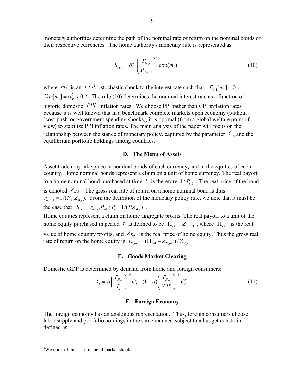monetary authorities determine the path of the nominal rate of return on the nominal bonds of their respective currencies. The home authority's monetary rule is represented as:

$$
R_{t+1} = \beta^{-1} \left( \frac{P_{H,t}}{P_{H,t-1}} \right)^{\gamma} \exp(m_t)
$$
 (10)

where  $m_t$  is an *i.i.d.* stochastic shock to the interest rate such that,  $E_{t-1}[m_t] = 0$ ,  $Var[m_t] = \sigma_m^2 > 0$ <sup>8</sup>. The rule (10) determines the nominal interest rate as a function of historic domestic *PPI* inflation rates. We choose PPI rather than CPI inflation rates because it is well known that in a benchmark complete markets open economy (without `cost-push' or government spending shocks), it is optimal (from a global welfare point of view) to stabilize PPI inflation rates. The main analysis of the paper will focus on the relationship between the stance of monetary policy, captured by the parameter  $\ell$ , and the equilibrium portfolio holdings among countries.

## **D. The Menu of Assets**

Asset trade may take place in nominal bonds of each currency, and in the equities of each country. Home nominal bonds represent a claim on a unit of home currency. The real payoff to a home nominal bond purchased at time  $t_i$  is therefore  $1/P_{t+1}$ . The real price of the bond is denoted  $Z_{B,t}$ . The gross real rate of return on a home nominal bond is thus  $r_{B,t+1} = 1/(P_{t+1}Z_{B,t})$ . From the definition of the monetary policy rule, we note that it must be the case that  $R_{t+1} = r_{B,t+1} P_{t+1} / P_t = 1 / (P_t Z_{B,t})$ .

Home equities represent a claim on home aggregate profits. The real payoff to a unit of the home equity purchased in period *t* is defined to be  $\Pi_{t+1} + Z_{E_{t+1}}$ , where  $\Pi_{t+1}$  is the real value of home country profits, and  $Z_{E,t}$  is the real price of home equity. Thus the gross real rate of return on the home equity is  $r_{E,t+1} = (\prod_{t+1} + Z_{E,t+1})/Z_{E,t}$ .

#### **E. Goods Market Clearing**

Domestic GDP is determined by demand from home and foreign consumers:

$$
Y_{t} = \mu \left(\frac{P_{H,t}}{P_{t}}\right)^{-\theta} C_{t} + (1 - \mu) \left(\frac{P_{H,t}}{S_{t}P_{t}^{*}}\right)^{-\theta} C_{t}^{*}
$$
\n(11)

## **F. Foreign Economy**

The foreign economy has an analogous representation. Thus, foreign consumers choose labor supply and portfolio holdings in the same manner, subject to a budget constraint defined as:

 $\overline{a}$ 

<sup>&</sup>lt;sup>8</sup>We think of this as a financial market shock.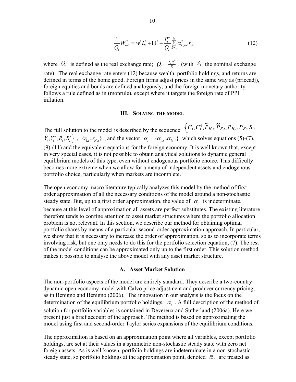$$
\frac{1}{Q_t}W_{t+1}^* = w_t^* L_t^* + \Pi_t^* + \frac{P_t^*}{Q_t} \sum_{k=1}^N \alpha_{k,t-1}^* r_{kt}
$$
\n(12)

where  $Q_t$  is defined as the real exchange rate;  $Q_t = \frac{S_t P_t^*}{P_t}$ , (with  $S_t$  the nominal exchange rate). The real exchange rate enters (12) because wealth, portfolio holdings, and returns are defined in terms of the home good. Foreign firms adjust prices in the same way as (priceadj), foreign equities and bonds are defined analogously, and the foreign monetary authority follows a rule defined as in (monrule), except where it targets the foreign rate of PPI inflation.

#### **III. SOLVING THE MODEL**

The full solution to the model is described by the sequence  $\{C_t, C_t^{\dagger}, P_{H,t}, P_{F,t}, P_{H,t}, P_{Ft}, S_t, P_{H,t}, P_{F,t}, P_{H,t}, P_{F,t}, S_t, P_{H,t}, P_{F,t}, P_{H,t}, P_{F,t}, S_t, P_{H,t}, P_{F,t}, P_{H,t}, P_{F,t}, S_t, P_{H,t}, P_{F,t}, S_t, P_{H,t}, P_{F,t}, S_t, P_{H,t}, P_{F,t}, P_{H,t}, P_{F,t}, S_t, P_{H,t}, P_{$  $Y_t, Y_t^*, R_t, R_t^* \}, \{r_{1,t}, r_{N,t}\}$ , and the vector  $\alpha_t = \{\alpha_{1,t}, \alpha_{N,t}\}$  which solves equations (5)-(7), (9)-(11) and the equivalent equations for the foreign economy. It is well known that, except in very special cases, it is not possible to obtain analytical solutions to dynamic general equilibrium models of this type, even without endogenous portfolio choice. This difficulty becomes more extreme when we allow for a menu of independent assets and endogenous portfolio choice, particularly when markets are incomplete.

The open economy macro literature typically analyzes this model by the method of firstorder approximation of all the necessary conditions of the model around a non-stochastic steady state. But, up to a first order approximation, the value of  $\alpha_t$  is indeterminate, because at this level of approximation all assets are perfect substitutes. The existing literature therefore tends to confine attention to asset market structures where the portfolio allocation problem is not relevant. In this section, we describe our method for obtaining optimal portfolio shares by means of a particular second-order approximation approach. In particular, we show that it is necessary to increase the order of approximation, so as to incorporate terms involving risk, but one only needs to do this for the portfolio selection equation, (7). The rest of the model conditions can be approximated only up to the first order. This solution method makes it possible to analyse the above model with any asset market structure.

#### **A. Asset Market Solution**

The non-portfolio aspects of the model are entirely standard. They describe a two-country dynamic open economy model with Calvo price adjustment and producer currency pricing, as in Benigno and Benigno (2006). The innovation in our analysis is the focus on the determination of the equilibrium portfolio holdings,  $\alpha_t$ . A full description of the method of solution for portfolio variables is contained in Devereux and Sutherland (2006a). Here we present just a brief account of the approach. The method is based on approximating the model using first and second-order Taylor series expansions of the equilibrium conditions.

The approximation is based on an approximation point where all variables, except portfolio holdings, are set at their values in a symmetric non-stochastic steady state with zero net foreign assets. As is well-known, portfolio holdings are indeterminate in a non-stochastic steady state, so portfolio holdings at the approximation point, denoted  $\bar{\alpha}$ , are treated as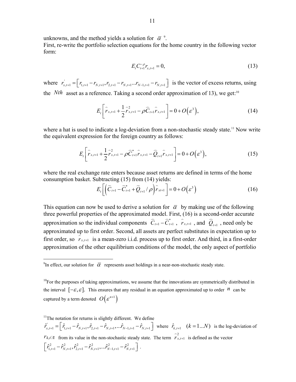unknowns, and the method yields a solution for  $\bar{\alpha}^9$ . First, re-write the portfolio selection equations for the home country in the following vector form:

$$
E_t C_{t+1}^{-\rho} r_{x,t+1} = 0, \tag{13}
$$

where  $r'_{x,t+1} = \left[ r_{1,t+1} - r_{N,t+1}, r_{2,t+1} - r_{N,t+1} \ldots r_{N-1,t+1} - r_{N,t+1} \right]$  is the vector of excess returns, using the *Nth* asset as a reference. Taking a second order approximation of 13), we get:<sup>10</sup>

$$
E_{t}\left[\hat{r}_{x,t+1} + \frac{1}{2}\hat{r}_{x,t+1}^{2} - \rho \hat{C}_{t+1}\hat{r}_{x,t+1}\right] = 0 + O(\varepsilon^{3}),
$$
\n(14)

where a hat is used to indicate a log-deviation from a non-stochastic steady state.<sup>11</sup> Now write the equivalent expression for the foreign country as follows:

$$
E_t\left[\hat{r}_{x,t+1} + \frac{1}{2}\hat{r}_{x,t+1}^2 - \rho \hat{C}_{t+1}^*\hat{r}_{x,t+1} - \hat{Q}_{t+1}\hat{r}_{x,t+1}\right] = 0 + O(\varepsilon^3),\tag{15}
$$

where the real exchange rate enters because asset returns are defined in terms of the home consumption basket. Subtracting (15) from (14) yields:

$$
E_t\bigg[\bigg(\widehat{C}_{t+1}-\widehat{C}_{t+1}^*+\widehat{Q}_{t+1}/\rho\bigg)\widehat{r}_{xt+1}\bigg]=0+O\bigg(\varepsilon^3\bigg)\tag{16}
$$

This equation can now be used to derive a solution for  $\bar{\alpha}$  by making use of the following three powerful properties of the approximated model. First, (16) is a second-order accurate approximation so the individual components  $\hat{C}_{t+1} - \hat{C}_{t+1}^*$ ,  $\hat{r}_{x,t+1}$ , and  $\hat{Q}_{t+1}$ , need only be approximated up to first order. Second, all assets are perfect substitutes in expectation up to first order, so  $\hat{r}_{x,t+1}$  is a mean-zero i.i.d. process up to first order. And third, in a first-order approximation of the other equilibrium conditions of the model, the only aspect of portfolio

<u>.</u>

 $11$ <sup>11</sup>The notation for returns is slightly different. We define  $\hat{r}_{x,t+1} = \left[ \hat{r}_{1,t+1} - \hat{r}_{N,t+1}, \hat{r}_{2,t+1} - \hat{r}_{N,t+1}, \dots \hat{r}_{N-1,t+1} - \hat{r}_{N,t+1} \right]$  where  $\hat{r}_{k,t+1}$   $(k = 1...N)$  is the log-deviation of *r*<sup>2</sup>, $\int r_{k,t}$  from its value in the non-stochastic steady state. The term  $\int r_{x,t+1}^2$  is defined as the vector  $\left[ \hat{r}_{1,t+1}^2 - \hat{r}_{N,t+1}^2, \hat{r}_{2,t+1}^2 - \hat{r}_{N,t+1}^2, \ldots, \hat{r}_{N-1,t+1}^2 - \hat{r}_{N,t+1}^2 \right]$ .

<sup>&</sup>lt;sup>9</sup>In effect, our solution for  $\bar{\alpha}$  represents asset holdings in a near-non-stochastic steady state.

 $10<sub>P</sub>$  Tor the purposes of taking approximations, we assume that the innovations are symmetrically distributed in the interval  $[-\varepsilon, \varepsilon]$ . This ensures that any residual in an equation approximated up to order *n* can be captured by a term denoted  $O(\varepsilon^{n+1})$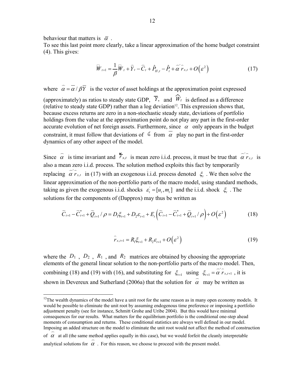behaviour that matters is  $\bar{\alpha}$ .

<u>.</u>

To see this last point more clearly, take a linear approximation of the home budget constraint (4). This gives:

$$
\overline{W}_{t+1} = \frac{1}{\beta} \overline{W}_t + \overline{Y}_t - \overline{C}_t + \hat{P}_{H,t} - \hat{P}_t + \overline{\alpha}^{\prime} \overline{r}_{x,t} + O(\varepsilon^2)
$$
(17)

where  $\hat{\alpha} = \vec{\alpha}/\beta \vec{Y}$  is the vector of asset holdings at the approximation point expressed

(approximately) as ratios to steady state GDP,  $\overline{Y}$ , and  $\widehat{W}_t$  is defined as a difference (relative to steady state GDP) rather than a log deviation<sup>12</sup>. This expression shows that, because excess returns are zero in a non-stochastic steady state, deviations of portfolio holdings from the value at the approximation point do not play any part in the first-order accurate evolution of net foreign assets. Furthermore, since  $\alpha$  only appears in the budget constraint, it must follow that deviations of  $\epsilon$  from  $\alpha$  play no part in the first-order dynamics of any other aspect of the model.

Since  $\hat{\alpha}$  is time invariant and  $\vec{r}_{x,t}$  is mean zero i.i.d. process, it must be true that  $\vec{\alpha} \hat{r}_{x,t}$  is also a mean zero i.i.d. process. The solution method exploits this fact by temporarily replacing  $\alpha' \hat{r}_{x,t}$  in (17) with an exogenous i.i.d. process denoted  $\xi_t$ . We then solve the linear approximation of the non-portfolio parts of the macro model, using standard methods, taking as given the exogenous i.i.d. shocks  $\varepsilon' = [u_t, m_t]$  and the i.i.d. shock  $\xi$ . The solutions for the components of (Dapprox) may thus be written as

$$
\widehat{C}_{t+1} - \widehat{C}_{t+1}^* + \widehat{Q}_{t+1} / \rho = D_1 \xi_{t+1} + D_2 \varepsilon_{t+1} + E_t \left( \widehat{C}_{t+1} - \widehat{C}_{t+1}^* + \widehat{Q}_{t+1} / \rho \right) + O \left( \varepsilon^2 \right)
$$
(18)

$$
\hat{r}_{x,t+1} = R_1 \xi_{t+1} + R_2 \varepsilon_{t+1} + O(\varepsilon^2)
$$
\n(19)

where the  $D_1$ ,  $D_2$ ,  $R_1$ , and  $R_2$  matrices are obtained by choosing the appropriate elements of the general linear solution to the non-portfolio parts of the macro model. Then, combining (18) and (19) with (16), and substituting for  $\zeta_{t+1}$  using  $\zeta_{t+1} = \alpha' \overline{r}_{x,t+1}$ , it is shown in Devereux and Sutherland (2006a) that the solution for  $\hat{\alpha}$  may be written as

## or  $\alpha$  at an (the same method applies equally in this case), but we would forfelt the creamy analytical solutions for  $\alpha$ . For this reason, we choose to proceed with the present model.

 $12$ The wealth dynamics of the model have a unit root for the same reason as in many open economy models. It would be possible to eliminate the unit root by assuming endogenous time preference or imposing a portfolio adjustment penalty (see for instance, Schmitt Grohe and Uribe 2004). But this would have minimal consequences for our results. What matters for the equilibrium portfolio is the conditional one-step ahead moments of consumption and returns. These conditional statistics are always well defined in our model. Imposing an added structure on the model to eliminate the unit root would not affect the method of construction Imposing an added structure on the model to eliminate the unit root would not affect the method of construent of  $\alpha$  at all (the same method applies equally in this case), but we would forfeit the cleanly interpretable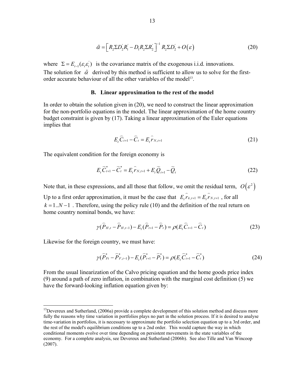$$
\tilde{\alpha} = \left[ R_2 \Sigma D_2' R_1' - D_1 R_2 \Sigma R_2' \right]^{-1} R_2 \Sigma D_2' + O(\varepsilon)
$$
\n(20)

where  $\Sigma = E_{t-1}(\varepsilon_t \varepsilon_t)$  is the covariance matrix of the exogenous i.i.d. innovations. The solution for  $\tilde{\alpha}$  derived by this method is sufficient to allow us to solve for the firstorder accurate behaviour of all the other variables of the model<sup>13</sup>.

## **B. Linear approximation to the rest of the model**

In order to obtain the solution given in (20), we need to construct the linear approximation for the non-portfolio equations in the model. The linear approximation of the home country budget constraint is given by (17). Taking a linear approximation of the Euler equations implies that

$$
E_t \widehat{C}_{t+1} - \widehat{C}_t = E_t \widehat{r}_{N,t+1}
$$
\n(21)

The equivalent condition for the foreign economy is

$$
E_{t}\overline{C}_{t+1}^{*}-\overline{C}_{t}^{*}=E_{t}\widehat{r}_{N,t+1}+E_{t}\widehat{Q}_{t+1}-\widehat{Q}_{t}
$$
\n(22)

Note that, in these expressions, and all those that follow, we omit the residual term,  $O(\varepsilon^2)$ 

Up to a first order approximation, it must be the case that  $E_t \hat{r}_{k,t+1} = E_t \hat{r}_{N,t+1}$ , for all  $k = 1..N - 1$ . Therefore, using the policy rule (10) and the definition of the real return on home country nominal bonds, we have:

$$
\gamma(\widehat{P}_{H,t} - \widehat{P}_{H,t-1}) - E_t(\widehat{P}_{t+1} - \widehat{P}_t) = \rho(E_t \widehat{C}_{t+1} - \widehat{C}_t)
$$
\n(23)

Likewise for the foreign country, we must have:

<u>.</u>

$$
\gamma(\widehat{P}_{Ft}^* - \widehat{P}_{F,t-1}^*) - E_t(\widehat{P}_{t+1}^* - \widehat{P}_t^*) = \rho(E_t \widehat{C}_{t+1}^* - \widehat{C}_t^*)
$$
\n(24)

From the usual linearization of the Calvo pricing equation and the home goods price index (9) around a path of zero inflation, in combination with the marginal cost definition (5) we have the forward-looking inflation equation given by:

 $<sup>13</sup>$ Devereux and Sutherland, (2006a) provide a complete development of this solution method and discuss more</sup> fully the reasons why time variation in portfolios plays no part in the solution process. If it is desired to analyse time-variation in portfolios, it is necessary to approximate the portfolio selection equation up to a 3rd order, and the rest of the model's equilibrium conditions up to a 2nd order. This would capture the way in which conditional moments evolve over time depending on persistent movements in the state variables of the economy. For a complete analysis, see Devereux and Sutherland (2006b). See also Tille and Van Wincoop (2007).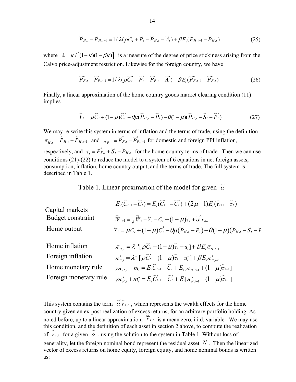$$
\widehat{P}_{H,t} - \widehat{P}_{H,t-1} = 1/\lambda(\rho \widehat{C}_t + \widehat{P}_t - \widehat{P}_{H,t} - \widehat{A}_t) + \beta E_t(\widehat{P}_{H,t+1} - \widehat{P}_{H,t})
$$
(25)

where  $\lambda = \kappa / [(1 - \kappa)(1 - \beta \kappa)]$  is a measure of the degree of price stickiness arising from the Calvo price-adjustment restriction. Likewise for the foreign country, we have

$$
\widehat{P}_{F,t}^* - \widehat{P}_{F,t-1}^* = 1/\lambda(\rho \widehat{C}_t^* + \widehat{P}_t^* - \widehat{P}_{F,t}^* - \widehat{A}_t^*) + \beta E_t(\widehat{P}_{F,t+1}^* - \widehat{P}_{F,t}^*)
$$
(26)

Finally, a linear approximation of the home country goods market clearing condition (11) implies

$$
\widehat{Y}_t = \mu \widehat{C}_t + (1 - \mu) \widehat{C}_t^* - \theta \mu (\widehat{P}_{H,t} - \widehat{P}_t) - \theta (1 - \mu) (\widehat{P}_{H,t} - \widehat{S}_t - \widehat{P}_t^*)
$$
(27)

We may re-write this system in terms of inflation and the terms of trade, using the definition  $\pi_{H,t} = \hat{P}_{H,t} - \hat{P}_{H,t-1}$  and  $\pi_{F,t} = \hat{P}_{F,t} - \hat{P}_{F,t-1}$  for domestic and foreign PPI inflation, respectively, and  $\tau_t = \overline{P}_{F,t}^* + \overline{S}_t - \overline{P}_{H,t}$  for the home country terms of trade. Then we can use conditions (21)-(22) to reduce the model to a system of 6 equations in net foreign assets, consumption, inflation, home country output, and the terms of trade. The full system is described in Table 1.

Table 1. Linear proximation of the model for given  $\hat{\alpha}$ 

| Capital markets       | $E_{i}(\widehat{C}_{t+1}-\widehat{C}_{t})=E_{i}(\widehat{C}_{t+1}^{*}-\widehat{C}_{t}^{*})+(2\mu-1)E_{i}(\widehat{\tau}_{t+1}-\widehat{\tau}_{t})$            |
|-----------------------|---------------------------------------------------------------------------------------------------------------------------------------------------------------|
| Budget constraint     | $\overline{W}_{t+1} = \frac{1}{\beta} \overline{W}_t + \widehat{Y}_t - \widehat{C}_t - (1 - \mu) \widehat{r}_t + \widehat{\alpha}^{\prime} \widehat{r}_{x,t}$ |
| Home output           | $\hat{Y}_t = \mu \hat{C}_t + (1 - \mu) \hat{C}_t^* - \theta \mu (\hat{P}_{H,t} - \hat{P}_t) - \theta (1 - \mu) (\hat{P}_{H,t} - \hat{S}_t - \hat{P}_t)$       |
| Home inflation        | $\pi_{H_{t}} = \lambda^{-1} [\rho \hat{C}_{t} + (1 - \mu)\hat{\tau}_{t} - u_{t}] + \beta E_{t} \pi_{H_{t+1}}$                                                 |
| Foreign inflation     | $\pi_{F,t}^* = \lambda^{-1} [\rho \widehat{C}_t^* - (1-\mu)\widehat{\tau}_t - u_t^*] + \beta E_t \pi_{F,t+1}^*$                                               |
| Home monetary rule    | $\gamma \pi_{H_t} + m_t = E_t \hat{C}_{t+1} - \hat{C}_t + E_t [\pi_{H_{t+1}} + (1 - \mu)\hat{\tau}_{t+1}]$                                                    |
| Foreign monetary rule | $\gamma \pi_{F_t}^* + m_t^* = E_t \hat{C}_{t+1}^* - \hat{C}_t^* + E_t [\pi_{F_{t+1}}^* - (1 - \mu)\hat{\tau}_{t+1}]$                                          |

This system contains the term  $\hat{\alpha} \hat{r}_{x,t}$ , which represents the wealth effects for the home country given an ex-post realization of excess returns, for an arbitrary portfolio holding. As noted before, up to a linear approximation,  $\sum_{r_{x,t}}^{r_{x,t}}$  is a mean zero, i.i.d. variable. We may use this condition, and the definition of each asset in section 2 above, to compute the realization this condition, and the definition of each asset in section 2 above, to compute the rea<br>of  $\hat{r}_{x,t}$  for a given  $\hat{\alpha}$ , using the solution to the system in Table 1. Without loss of generality, let the foreign nominal bond represent the residual asset *N* . Then the linearized vector of excess returns on home equity, foreign equity, and home nominal bonds is written as: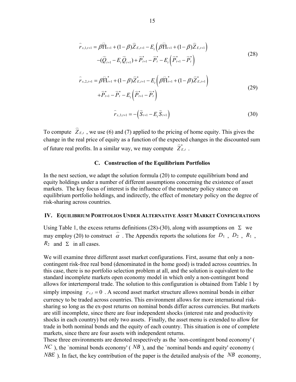$$
\widehat{r}_{x,1,t+1} = \beta \overline{\Pi}_{t+1} + (1 - \beta) \widehat{Z}_{E,t+1} - E_t \left( \beta \overline{\Pi}_{t+1} + (1 - \beta) \widehat{Z}_{E,t+1} \right) \n- (\widehat{Q}_{t+1} - E_t \widehat{Q}_{t+1}) + \widehat{P}_{t+1}^* - \widehat{P}_t^* - E_t \left( \widehat{P}_{t+1}^* - \widehat{P}_t^* \right)
$$
\n(28)

$$
\hat{r}_{x,2,t+1} = \beta \overline{\text{H}}_{t+1}^{*} + (1 - \beta) \overline{Z}_{E,t+1}^{*} - E_{t} \left( \beta \overline{\text{H}}_{t+1}^{*} + (1 - \beta) \overline{Z}_{E,t+1}^{*} \right)
$$
\n
$$
+ \overline{P}_{t+1}^{*} - \overline{P}_{t}^{*} - E_{t} \left( \overline{P}_{t+1}^{*} - \overline{P}_{t}^{*} \right)
$$
\n(29)

$$
\widehat{r}_{x,3,t+1} = -(\widehat{S}_{t+1} - E_t \widehat{S}_{t+1})
$$
\n(30)

To compute  $\widehat{Z}_{E,t}$ , we use (6) and (7) applied to the pricing of home equity. This gives the change in the real price of equity as a function of the expected changes in the discounted sum of future real profits. In a similar way, we may compute  $\hat{Z}_{E,t}^*$ .

## **C. Construction of the Equilibrium Portfolios**

In the next section, we adapt the solution formula (20) to compute equilibrium bond and equity holdings under a number of different assumptions concerning the existence of asset markets. The key focus of interest is the influence of the monetary policy stance on equilibrium portfolio holdings, and indirectly, the effect of monetary policy on the degree of risk-sharing across countries.

#### **IV. EQUILIBRIUM PORTFOLIOS UNDER ALTERNATIVE ASSET MARKET CONFIGURATIONS**

Using Table 1, the excess returns definitions (28)-(30), along with assumptions on  $\Sigma$  we Using Table 1, the excess returns definitions (26)-(50), along with assumptions on  $\mathbb{Z}$  we may employ (20) to construct  $\hat{\alpha}$ . The Appendix reports the solutions for  $D_1$ ,  $D_2$ ,  $R_1$ ,  $R_2$  and  $\Sigma$  in all cases.

We will examine three different asset market configurations. First, assume that only a noncontingent risk-free real bond (denominated in the home good) is traded across countries. In this case, there is no portfolio selection problem at all, and the solution is equivalent to the standard incomplete markets open economy model in which only a non-contingent bond allows for intertemporal trade. The solution to this configuration is obtained from Table 1 by simply imposing  $r_{x,t} = 0$ . A second asset market structure allows nominal bonds in either currency to be traded across countries. This environment allows for more international risksharing so long as the ex-post returns on nominal bonds differ across currencies. But markets are still incomplete, since there are four independent shocks (interest rate and productivity shocks in each country) but only two assets. Finally, the asset menu is extended to allow for trade in both nominal bonds and the equity of each country. This situation is one of complete markets, since there are four assets with independent returns.

These three environments are denoted respectively as the `non-contingent bond economy' (  $NC$ ), the `nominal bonds economy' ( $NB$ ), and the `nominal bonds and equity' economy ( *NBE*). In fact, the key contribution of the paper is the detailed analysis of the *NB* economy,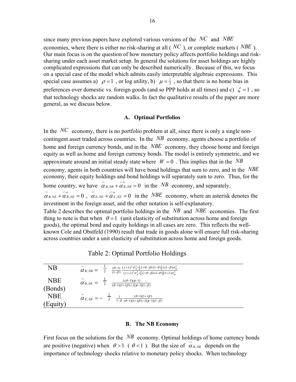since many previous papers have explored various versions of the *NC* and *NBE* economies, where there is either no risk-sharing at all ( *NC* ), or complete markets ( *NBE* ). Our main focus is on the question of how monetary policy affects portfolio holdings and risksharing under each asset market setup. In general the solutions for asset holdings are highly complicated expressions that can only be described numerically. Because of this, we focus on a special case of the model which admits easily interpretable algebraic expressions. This special case assumes a)  $\rho = 1$ , or log utility, b)  $\mu = \frac{1}{2}$ , so that there is no home bias in preferences over domestic vs. foreign goods (and so PPP holds at all times) and c)  $\zeta = 1$ , so that technology shocks are random walks. In fact the qualitative results of the paper are more general, as we discuss below.

## **A. Optimal Portfolios**

In the *NC* economy, there is no portfolio problem at all, since there is only a single noncontingent asset traded across countries. In the *NB* economy, agents choose a portfolio of home and foreign currency bonds, and in the *NBE* economy, they choose home and foreign equity as well as home and foreign currency bonds. The model is entirely symmetric, and we approximate around an initial steady state where  $W = 0$ . This implies that in the *NB* economy, agents in both countries will have bond holdings that sum to zero, and in the *NBE* economy, their equity holdings and bond holdings will separately sum to zero. Thus, for the home country, we have  $\hat{\alpha}_{B,NB} + \hat{\alpha}_{B,NB}^* = 0$  in the *NB* economy, and separately, home country, we have  $\hat{\alpha}_{B,NB} + \hat{\alpha}_{B,NB}^* = 0$  in the *NB* economy, and separately,<br> $\hat{\alpha}_{B,NE} + \hat{\alpha}_{B,NE}^* = 0$ ,  $\hat{\alpha}_{E,NE} + \hat{\alpha}_{E,NE}^* = 0$  in the *NBE* economy, where an asterisk denotes the

investment in the foreign asset, and the other notation is self-explanatory.

Table 2 describes the optimal portfolio holdings in the *NB* and *NBE* economies. The first thing to note is that when  $\theta = 1$  (unit elasticity of substitution across home and foreign goods), the optimal bond and equity holdings in all cases are zero. This reflects the wellknown Cole and Obstfeld (1990) result that trade in goods alone will ensure full risk-sharing across countries under a unit elasticity of substitution across home and foreign goods.

Table 2: Optimal Portfolio Holdings

| NB                     | $(\theta-1)$ $(\gamma+\lambda)^2 \sigma_A^2 + [\lambda+\theta-\beta\lambda(1-\theta)]\lambda(1-\beta)\sigma_m^2$<br>$\alpha_{B,NB} =$<br>$\sqrt{(1-\beta)} \sqrt{(\gamma+\lambda)^2 \sigma_A^2 + [\lambda+\theta-\beta\lambda(1-\theta)](1+\lambda)\sigma_m^2}$ |
|------------------------|-----------------------------------------------------------------------------------------------------------------------------------------------------------------------------------------------------------------------------------------------------------------|
| <b>NBE</b><br>(Bonds)  | $\lambda(\theta-1)(\phi-1)$<br>$\alpha$ $_{\tiny B,NE}$ $=$<br>$\overline{c}$<br>$\sqrt{(\theta-1)(1+\lambda\beta)+\lambda(\phi-1)(1-\beta)}$                                                                                                                   |
| <b>NBE</b><br>(Equity) | $(\theta-1)(1+\lambda\beta)$<br>$\alpha_{E,NE} = -2$<br>$\overline{1-\beta}$ $\overline{(\theta-1)(1+\lambda\beta)+\lambda(\phi-1)(1-\beta)}$                                                                                                                   |

## **B. The NB Economy**

First focus on the solutions for the  $NB$  economy. Optimal holdings of home currency bonds are positive (negative) when  $\theta > 1$  ( $\theta < 1$ ). But the size of  $\hat{\alpha}_{B, NB}$  depends on the importance of technology shocks relative to monetary policy shocks. When technology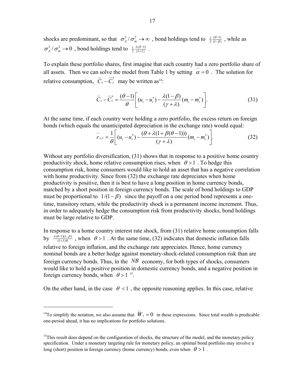shocks are predominant, so that  $\sigma_A^2 / \sigma_m^2 \to \infty$ , bond holdings tend to  $\frac{1}{2} \frac{(\theta-1)}{(1-\beta)}$ θ β  $\frac{\partial^{-1}}{\partial}$ , while as  $\sigma_A^2 / \sigma_m^2 \rightarrow 0$ , bond holdings tend to  $\frac{1}{2} \frac{\lambda(\theta-1)}{(1+\lambda)}$ λ θ  $\frac{\theta-1}{\theta+2}$ .

To explain these portfolio shares, first imagine that each country had a zero portfolio share of To explain these portions shares, first magnie that each country had a zero portions share<br>all assets. Then we can solve the model from Table 1 by setting  $\hat{\alpha} = 0$ . The solution for relative consumption,  $\hat{C}_t - \hat{C}_t^*$  may be written as<sup>14</sup>:

$$
\widehat{C}_t - \widehat{C}_t^* = \frac{(\theta - 1)}{\theta} \bigg[ (u_t - u_t^*) - \frac{\lambda (1 - \beta)}{(\gamma + \lambda)} (m_t - m_t^*) \bigg].
$$
\n(31)

At the same time, if each country were holding a zero portfolio, the excess return on foreign bonds (which equals the unanticipated depreciation in the exchange rate) would equal:

$$
\hat{r}_{x,t} = \frac{1}{\theta} \left[ (u_t - u_t^*) - \frac{(\theta + \lambda(1 + \beta(\theta - 1)))}{(\gamma + \lambda)} (m_t - m_t^*) \right].
$$
\n(32)

Without any portfolio diversification, (31) shows that in response to a positive home country productivity shock, home relative consumption rises, when  $\theta > 1$ . To hedge this consumption risk, home consumers would like to hold an asset that has a negative correlation with home productivity. Since from (32) the exchange rate depreciates when home productivity is positive, then it is best to have a long position in home currency bonds, matched by a short position in foreign currency bonds. The scale of bond holdings to GDP must be proportional to  $1/(1 - \beta)$  since the payoff on a one period bond represents a onetime, transitory return, while the productivity shock is a permanent income increment. Thus, in order to adequately hedge the consumption risk from productivity shocks, bond holdings must be large relative to GDP.

In response to a home country interest rate shock, from (31) relative home consumption falls by  $\frac{\lambda(\theta-1)(1-\beta)}{(1+\lambda)\theta}$  $\frac{\lambda(\theta-1)(1-\beta)}{(1+\lambda)\theta}$ , when  $\theta > 1$ . At the same time, (32) indicates that domestic inflation falls relative to foreign inflation, and the exchange rate appreciates. Hence, home currency nominal bonds are a better hedge against monetary-shock-related consumption risk than are foreign currency bonds. Thus, in the *NB* economy, for both types of shocks, consumers would like to hold a positive position in domestic currency bonds, and a negative position in foreign currency bonds, when  $\theta > 1^{15}$ .

On the other hand, in the case  $\theta$  < 1, the opposite reasoning applies. In this case, relative

 $\overline{a}$ 

<sup>&</sup>lt;sup>14</sup>To simplify the notation, we also assume that  $\hat{W}_t = 0$  in these expressions. Since total wealth is predicable one-period ahead, it has no implications for portfolio solutions.

<sup>&</sup>lt;sup>15</sup>This result does depend on the configuration of shocks, the structure of the model, and the monetary policy specification. Under a monetary targeting rule for monetary policy, an optimal bond portfolio may involve a long (short) position in foreign currency (home currency) bonds, even when  $\theta > 1$ .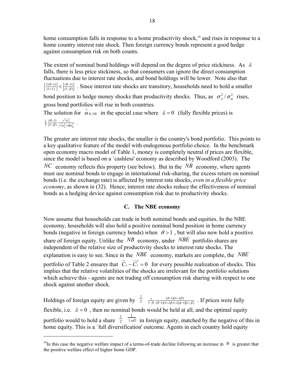home consumption falls in response to a home productivity shock,<sup>16</sup> and rises in response to a home country interest rate shock. Then foreign currency bonds represent a good hedge against consumption risk on both counts.

The extent of nominal bond holdings will depend on the degree of price stickiness. As  $\lambda$ falls, there is less price stickiness, so that consumers can ignore the direct consumption fluctuations due to interest rate shocks, and bond holdings will be lower. Note also that  $(\theta-1)$   $(\theta-1)$  $(1+\lambda)$   $\vert$   $\vert$   $(1-\beta)$  $\lambda(\theta-1)$   $\theta$  $\lambda$ ) |  $\lceil (1-\beta)$  $\frac{(\theta-1)}{(\theta-1)}$   $\lt |\frac{(\theta-1)}{(1-\beta)}|$ . Since interest rate shocks are transitory, households need to hold a smaller bond position to hedge money shocks than productivity shocks. Thus, as  $\sigma_A^2 / \sigma_m^2$  rises, gross bond portfolios will rise in both countries. gross bond portion tion for  $\alpha_{B, NB}$  in the special case where  $\lambda = 0$  (fully flexible prices) is  $\frac{1}{2} \frac{(\theta-1)}{(1-\beta)} \frac{\gamma^2 \sigma_A^2}{\gamma^2 \sigma_1^2 + \theta \sigma_1^2}$  $A + \omega_{m}$  $\theta$ -1)  $\gamma^2 \sigma$ β)  $\gamma^2 \sigma_4^2 + \theta \sigma$  $\frac{\partial^{-1}}{\partial \rho} \frac{\gamma^2 \sigma_A^2}{\gamma^2 \sigma_A^2 + \theta \sigma_m^2}$ .

The greater are interest rate shocks, the smaller is the country's bond portfolio. This points to a key qualitative feature of the model with endogenous portfolio choice. In the benchmark open economy macro model of Table 1, money is completely neutral if prices are flexible, since the model is based on a `cashless' economy as described by Woodford (2003). The *NC* economy reflects this property (see below). But in the *NB* economy, where agents must use nominal bonds to engage in international risk-sharing, the excess return on nominal bonds (i.e. the exchange rate) is affected by interest rate shocks, *even in a flexible price economy*, as shown in (32). Hence, interest rate shocks reduce the effectiveness of nominal bonds as a hedging device against consumption risk due to productivity shocks.

## **C. The NBE economy**

Now assume that households can trade in both nominal bonds and equities. In the NBE economy, households will also hold a positive nominal bond position in home currency bonds (negative in foreign currency bonds) when  $\theta > 1$ , but will also now hold a positive share of foreign equity. Unlike the *NB* economy, under *NBE* portfolio shares are independent of the relative size of productivity shocks to interest rate shocks. The explanation is easy to see. Since in the *NBE* economy, markets are complete, the *NBE* portfolio of Table 2 ensures that  $\hat{C}_t - \hat{C}_t^* = 0$  for every possible realization of shocks. This implies that the relative volatilities of the shocks are irrelevant for the portfolio solutions which achieve this - agents are not trading off consumption risk sharing with respect to one shock against another shock.

Holdings of foreign equity are given by  $\frac{1}{2}$  $\frac{1}{2}$   $\frac{1}{1-\beta} \frac{(\theta-1)(1+\lambda\beta)}{(\theta-1)(1+\lambda\beta)+\lambda(\phi-1)}$  $1-\beta$   $(\theta-1)(1+\lambda\beta)+\lambda(\phi-1)(1-\beta)$  $_{\theta-1)(1+\lambda\beta}$  $\beta$   $(\theta-1)(1+\lambda\beta)+\lambda(\phi-1)(1-\beta)$  $\frac{1}{-\beta} \frac{(\theta-1)(1+\lambda\beta)}{(\theta-1)(1+\lambda\beta)+\lambda(\theta-1)(1-\beta)}$ . If prices were fully flexible, i.e.  $\lambda = 0$ , then no nominal bonds would be held at all, and the optimal equity portfolio would to hold a share  $\frac{1}{2}$ 2  $\frac{1}{1}$  in foreign equity, matched by the negative of this in home equity. This is a 'full diversification' outcome. Agents in each country hold equity

1

<sup>&</sup>lt;sup>16</sup>In this case the negative welfare impact of a terms-of-trade decline following an increase in  $u$  is greater that the positive welfare effect of higher home GDP.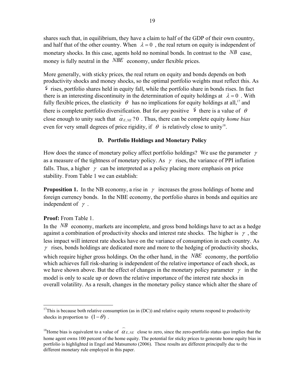shares such that, in equilibrium, they have a claim to half of the GDP of their own country, and half that of the other country. When  $\lambda = 0$ , the real return on equity is independent of monetary shocks. In this case, agents hold no nominal bonds. In contrast to the *NB* case, money is fully neutral in the *NBE* economy, under flexible prices.

More generally, with sticky prices, the real return on equity and bonds depends on both productivity shocks and money shocks, so the optimal portfolio weights must reflect this. As  $\phi$  rises, portfolio shares held in equity fall, while the portfolio share in bonds rises. In fact there is an interesting discontinuity in the determination of equity holdings at  $\lambda = 0$ . With fully flexible prices, the elasticity  $\theta$  has no implications for equity holdings at all,<sup>17</sup> and there is complete portfolio diversification. But for *any* positive  $\phi$  there is a value of  $\theta$ close enough to unity such that  $\hat{\alpha}_{E,NE}$  ?0. Thus, there can be complete equity *home bias* even for very small degrees of price rigidity, if  $\theta$  is relatively close to unity<sup>18</sup>.

## **D. Portfolio Holdings and Monetary Policy**

How does the stance of monetary policy affect portfolio holdings? We use the parameter  $\gamma$ as a measure of the tightness of monetary policy. As  $\gamma$  rises, the variance of PPI inflation falls. Thus, a higher  $\gamma$  can be interpreted as a policy placing more emphasis on price stability. From Table 1 we can establish:

**Proposition 1.** In the NB economy, a rise in  $\gamma$  increases the gross holdings of home and foreign currency bonds. In the NBE economy, the portfolio shares in bonds and equities are independent of  $\gamma$ .

## **Proof:** From Table 1.

1

In the *NB* economy, markets are incomplete, and gross bond holdings have to act as a hedge against a combination of productivity shocks and interest rate shocks. The higher is  $\gamma$ , the less impact will interest rate shocks have on the variance of consumption in each country. As  $\gamma$  rises, bonds holdings are dedicated more and more to the hedging of productivity shocks, which require higher gross holdings. On the other hand, in the *NBE* economy, the portfolio which achieves full risk-sharing is independent of the relative importance of each shock, as we have shown above. But the effect of changes in the monetary policy parameter  $\gamma$  in the model is only to scale up or down the relative importance of the interest rate shocks in overall volatility. As a result, changes in the monetary policy stance which alter the share of

 $17$ This is because both relative consumption (as in (DC)) and relative equity returns respond to productivity shocks in proportion to  $(1 - \theta)$ .

<sup>&</sup>lt;sup>18</sup>Home bias is equivalent to a value of  $\hat{\alpha}_{E,NE}$  close to zero, since the zero-portfolio status quo implies that the home agent owns 100 percent of the home equity. The potential for sticky prices to generate home equity bias in portfolio is highlighted in Engel and Matsumoto (2006). These results are different principally due to the different monetary rule employed in this paper.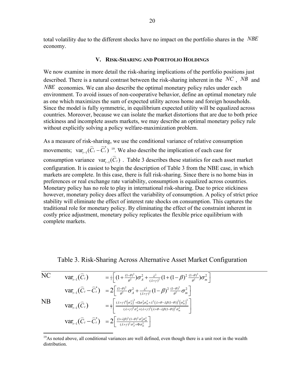total volatility due to the different shocks have no impact on the portfolio shares in the *NBE* economy.

## **V. RISK-SHARING AND PORTFOLIO HOLDINGS**

We now examine in more detail the risk-sharing implications of the portfolio positions just described. There is a natural contrast between the risk-sharing inherent in the *NC* , *NB* and *NBE* economies. We can also describe the optimal monetary policy rules under each environment. To avoid issues of non-cooperative behavior, define an optimal monetary rule as one which maximizes the sum of expected utility across home and foreign households. Since the model is fully symmetric, in equilibrium expected utility will be equalized across countries. Moreover, because we can isolate the market distortions that are due to both price stickiness and incomplete assets markets, we may describe an optimal monetary policy rule without explicitly solving a policy welfare-maximization problem.

As a measure of risk-sharing, we use the conditional variance of relative consumption movements;  $var_{t-1}(\overline{C}_t - \overline{C}_t^*)$ <sup>19</sup>. We also describe the implication of each case for the ventents,  $\{a_{t-1}(c_t, c_t)\}$ . We also describe the imprediction of each asset market consumption variance  $var_{t-1}(\hat{C}_t)$ . Table 3 describes these statistics for each asset market configuration. It is easiest to begin the description of Table 3 from the NBE case, in which markets are complete. In this case, there is full risk-sharing. Since there is no home bias in preferences or real exchange rate variability, consumption is equalized across countries. Monetary policy has no role to play in international risk-sharing. Due to price stickiness however, monetary policy does affect the variability of consumption. A policy of strict price stability will eliminate the effect of interest rate shocks on consumption. This captures the traditional role for monetary policy. By eliminating the effect of the constraint inherent in costly price adjustment, monetary policy replicates the flexible price equilibrium with complete markets.

## Table 3. Risk-Sharing Across Alternative Asset Market Configuration

NC 
$$
\operatorname{var}_{t-1}(\widehat{C}_t) = \frac{1}{2} \Big[ (1 + \frac{(1-\theta)^2}{\theta^2}) \sigma_A^2 + \frac{\lambda^2}{(\lambda + \gamma)^2} (1 + (1 - \beta)^2 \frac{(1-\theta)^2}{\theta^2}) \sigma_m^2 \Big]
$$
  
\n $\operatorname{var}_{t-1}(\widehat{C}_t - \widehat{C}_t^*) = 2 \Big[ \frac{(1-\theta)^2}{\theta^2} \sigma_A^2 + \frac{\lambda^2}{(\lambda + \gamma)^2} (1 - \beta)^2 \frac{(1-\theta)^2}{\theta^2} \sigma_m^2 \Big]$   
\nNB  $\operatorname{var}_{t-1}(\widehat{C}_t) = \frac{1}{2} \Big[ \frac{(\lambda + \gamma)^4 (\sigma_A^2)^2 + \Omega \sigma_A^2 \sigma_m^2 + \lambda^2 (\lambda + \theta - \lambda \beta (1 - \theta))^2 (\sigma_m^2)^2}{(\lambda + \gamma)^4 \sigma_A^2 + (\lambda + \gamma)^2 (\lambda + \theta - \lambda \beta (1 - \theta))^2 \sigma_m^2} \Big]$   
\n $\operatorname{var}_{t-1}(\widehat{C}_t - \widehat{C}_t^*) = 2 \Big[ \frac{(1 + \lambda \beta)^2 (1 - \theta)^2 \sigma_A^2 \sigma_m^2}{(\lambda + \gamma)^2 \sigma_A^2 + \Phi \sigma_m^2} \Big]$ 

1

<sup>&</sup>lt;sup>19</sup>As noted above, all conditional variances are well defined, even though there is a unit root in the wealth distribution.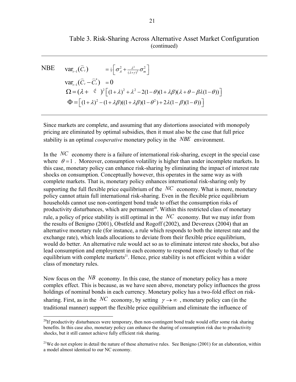## Table 3. Risk-Sharing Across Alternative Asset Market Configuration (continued)

NBE 
$$
\text{var}_{t-1}(\widehat{C}_t) = \frac{1}{2} \left[ \sigma_A^2 + \frac{\lambda^2}{(\lambda + \gamma)^2} \sigma_m^2 \right]
$$
  
\n $\text{var}_{t-1}(\widehat{C}_t - \widehat{C}_t^*) = 0$   
\n
$$
\Omega = (\lambda + \epsilon^2)^2 \left[ (1 + \lambda)^2 + \lambda^2 - 2(1 - \theta)(1 + \lambda \beta)(\lambda + \theta - \beta \lambda(1 - \theta)) \right]
$$
\n
$$
\Phi = \left[ (1 + \lambda)^2 - (1 + \lambda \beta)((1 + \lambda \beta)(1 - \theta^2) + 2\lambda(1 - \beta)(1 - \theta)) \right]
$$

Since markets are complete, and assuming that any distortions associated with monopoly pricing are eliminated by optimal subsidies, then it must also be the case that full price stability is an optimal *cooperative* monetary policy in the *NBE* environment.

In the *NC* economy there is a failure of international risk-sharing, except in the special case where  $\theta = 1$ . Moreover, consumption volatility is higher than under incomplete markets. In this case, monetary policy can enhance risk-sharing by eliminating the impact of interest rate shocks on consumption. Conceptually however, this operates in the same way as with complete markets. That is, monetary policy enhances international risk-sharing only by supporting the full flexible price equilibrium of the *NC* economy. What is more, monetary policy cannot attain full international risk-sharing. Even in the flexible price equilibrium households cannot use non-contingent bond trade to offset the consumption risks of productivity disturbances, which are permanent<sup>20</sup>. Within this restricted class of monetary rule, a policy of price stability is still optimal in the *NC* economy. But we may infer from the results of Benigno (2001), Obstfeld and Rogoff (2002), and Devereux (2004) that an alternative monetary rule (for instance, a rule which responds to both the interest rate and the exchange rate), which leads allocations to deviate from their flexible price equilibrium, would do better. An alternative rule would act so as to eliminate interest rate shocks, but also lead consumption and employment in each economy to respond more closely to that of the equilibrium with complete markets<sup>21</sup>. Hence, price stability is not efficient within a wider class of monetary rules.

Now focus on the *NB* economy. In this case, the stance of monetary policy has a more complex effect. This is because, as we have seen above, monetary policy influences the gross holdings of nominal bonds in each currency. Monetary policy has a two-fold effect on risksharing. First, as in the *NC* economy, by setting  $\gamma \rightarrow \infty$ , monetary policy can (in the traditional manner) support the flexible price equilibrium and eliminate the influence of

 $\overline{a}$ 

 $20$ If productivity disturbances were temporary, then non-contingent bond trade would offer some risk sharing benefits. In this case also, monetary policy can enhance the sharing of consumption risk due to productivity shocks, but it still cannot achieve fully efficient risk sharing.

<sup>&</sup>lt;sup>21</sup>We do not explore in detail the nature of these alternative rules. See Benigno (2001) for an elaboration, within a model almost identical to our NC economy.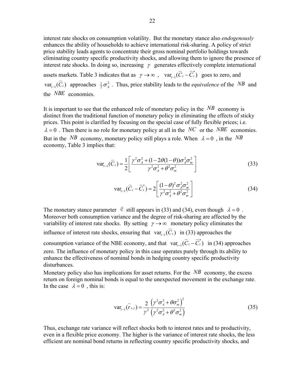interest rate shocks on consumption volatility. But the monetary stance also *endogenously* enhances the ability of households to achieve international risk-sharing. A policy of strict price stability leads agents to concentrate their gross nominal portfolio holdings towards eliminating country specific productivity shocks, and allowing them to ignore the presence of interest rate shocks. In doing so, increasing  $\gamma$  generates effectively complete international

assets markets. Table 3 indicates that as  $\gamma \to \infty$ ,  $var_{t-1}(\overline{C}_t - \overline{C}_t^*)$  goes to zero, and  $var_{t-1}(\overline{C}_t)$  approaches  $\frac{1}{2}\sigma^2$ . Thus price stability leads to the *equivalence* of the *N*  $\text{var}_{t-1}(\widehat{C}_t)$  approaches  $\frac{1}{2}\sigma_A^2$ . Thus, price stability leads to the *equivalence* of the *NB* and the *NBE* economies.

It is important to see that the enhanced role of monetary policy in the  $NB$  economy is distinct from the traditional function of monetary policy in eliminating the effects of sticky prices. This point is clarified by focusing on the special case of fully flexible prices; i.e.  $\lambda = 0$ . Then there is no role for monetary policy at all in the *NC* or the *NBE* economies. But in the *NB* economy, monetary policy still plays a role. When  $\lambda = 0$ , in the *NB* economy, Table 3 implies that:

$$
\text{var}_{t-1}(\widehat{C}_t) = \frac{1}{2} \left[ \frac{\gamma^2 \sigma_A^2 + (1 - 2\theta(1 - \theta))\sigma_A^2 \sigma_m^2}{\gamma^2 \sigma_A^2 + \theta^2 \sigma_m^2} \right]
$$
(33)

$$
\text{var}_{t-1}(\widehat{C}_t - \widehat{C}_t^*) = 2 \left[ \frac{(1-\theta)^2 \sigma_A^2 \sigma_m^2}{\gamma^2 \sigma_A^2 + \theta^2 \sigma_m^2} \right] \tag{34}
$$

The monetary stance parameter  $\epsilon$  still appears in (33) and (34), even though  $\lambda = 0$ . Moreover both consumption variance and the degree of risk-sharing are affected by the variability of interest rate shocks. By setting  $\gamma \rightarrow \infty$  monetary policy eliminates the influence of interest rate shocks, ensuring that  $var_{t-1}(\hat{C}_t)$  in (33) approaches the consumption variance of the NBE economy, and that  $var_{t-1}(\hat{C}_t - \hat{C}_t^*)$  in (34) approaches zero. The influence of monetary policy in this case operates purely through its ability to enhance the effectiveness of nominal bonds in hedging country specific productivity disturbances.

Monetary policy also has implications for asset returns. For the *NB* economy, the excess return on foreign nominal bonds is equal to the unexpected movement in the exchange rate. In the case  $\lambda = 0$ , this is:

$$
\text{var}_{t-1}(\hat{r}_{x,t}) = \frac{2}{\gamma^2} \frac{(\gamma^2 \sigma_A^2 + \theta \sigma_m^2)^2}{(\gamma^2 \sigma_A^2 + \theta^2 \sigma_m^2)}
$$
(35)

Thus, exchange rate variance will reflect shocks both to interest rates and to productivity, even in a flexible price economy. The higher is the variance of interest rate shocks, the less efficient are nominal bond returns in reflecting country specific productivity shocks, and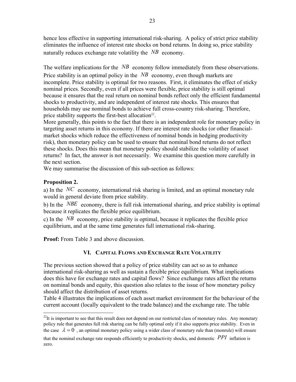hence less effective in supporting international risk-sharing. A policy of strict price stability eliminates the influence of interest rate shocks on bond returns. In doing so, price stability naturally reduces exchange rate volatility the *NB* economy.

The welfare implications for the *NB* economy follow immediately from these observations. Price stability is an optimal policy in the  $NB$  economy, even though markets are incomplete. Price stability is optimal for two reasons. First, it eliminates the effect of sticky nominal prices. Secondly, even if all prices were flexible, price stability is still optimal because it ensures that the real return on nominal bonds reflect only the efficient fundamental shocks to productivity, and are independent of interest rate shocks. This ensures that households may use nominal bonds to achieve full cross-country risk-sharing. Therefore, price stability supports the first-best allocation<sup>22</sup>.

More generally, this points to the fact that there is an independent role for monetary policy in targeting asset returns in this economy. If there are interest rate shocks (or other financialmarket shocks which reduce the effectiveness of nominal bonds in hedging productivity risk), then monetary policy can be used to ensure that nominal bond returns do not reflect these shocks. Does this mean that monetary policy should stabilize the volatility of asset returns? In fact, the answer is not necessarily. We examine this question more carefully in the next section.

We may summarise the discussion of this sub-section as follows:

## **Proposition 2.**

 $\overline{a}$ 

a) In the *NC* economy, international risk sharing is limited, and an optimal monetary rule would in general deviate from price stability.

b) In the *NBE* economy, there is full risk international sharing, and price stability is optimal because it replicates the flexible price equilibrium.

c) In the *NB* economy, price stability is optimal, because it replicates the flexible price equilibrium, and at the same time generates full international risk-sharing.

**Proof:** From Table 3 and above discussion.

## **VI. CAPITAL FLOWS AND EXCHANGE RATE VOLATILITY**

The previous section showed that a policy of price stability can act so as to enhance international risk-sharing as well as sustain a flexible price equilibrium. What implications does this have for exchange rates and capital flows? Since exchange rates affect the returns on nominal bonds and equity, this question also relates to the issue of how monetary policy should affect the distribution of asset returns.

Table 4 illustrates the implications of each asset market environment for the behaviour of the current account (locally equivalent to the trade balance) and the exchange rate. The table

 $^{22}$ It is important to see that this result does not depend on our restricted class of monetary rules. Any monetary policy rule that generates full risk sharing can be fully optimal only if it also supports price stability. Even in the case  $\lambda = 0$ , an optimal monetary policy using a wider class of monetary rule than (monrule) will ensure

that the nominal exchange rate responds efficiently to productivity shocks, and domestic *PPI* inflation is zero.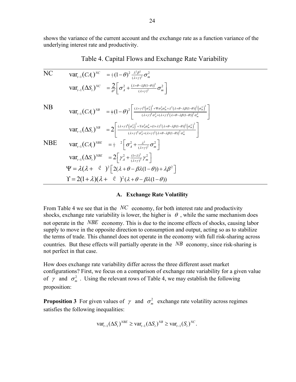shows the variance of the current account and the exchange rate as a function variance of the underlying interest rate and productivity.

| NC         | $\text{Var}_{t-1}(CA_t)^{NC} = \frac{1}{2}(1-\theta)^2 \frac{\lambda^2 \beta^2}{(\lambda + \nu)^2} \sigma_m^2$ |                                                                                                                                                                                                                                                                                                                                               |
|------------|----------------------------------------------------------------------------------------------------------------|-----------------------------------------------------------------------------------------------------------------------------------------------------------------------------------------------------------------------------------------------------------------------------------------------------------------------------------------------|
|            |                                                                                                                | $\text{var}_{t-1}(\Delta S_t)^{NC} = \frac{2}{\theta^2} \left[ \sigma_A^2 + \frac{(\lambda + \theta - \lambda \beta (1-\theta))^2}{(\lambda + \gamma^2)} \sigma_m^2 \right]$                                                                                                                                                                  |
| <b>NB</b>  |                                                                                                                | $\text{var}_{t-1}(CA_t)^{NB} = \frac{1}{2}(1-\theta)^2 \left  \frac{( \lambda + \gamma)^4 (\sigma_A^2)^2 + \Psi \sigma_A^2 \sigma_m^2 + \lambda^2 (\lambda + \theta - \lambda \beta (1-\theta))^2 (\sigma_m^2)^2}{(\lambda + \gamma)^4 \sigma_A^2 + (\lambda + \gamma)^2 (\lambda + \theta - \lambda \beta (1-\theta))^2 \sigma_m^2} \right $ |
|            |                                                                                                                | $\text{var}_{t-1}(\Delta S_t)^{NB} = 2\left \frac{(\lambda+\gamma)^4(\sigma_A^2)^2 + \gamma\sigma_A^2\sigma_m^2 + (1+\lambda)^2(\lambda+\theta-\lambda\beta(1-\theta))^2(\sigma_m^2)^2}{(\lambda+\gamma)^4\sigma_A^2 + (\lambda+\gamma)^2(\lambda+\theta-\lambda\beta(1-\theta))^2\sigma_m^2}\right $                                         |
| <b>NBE</b> |                                                                                                                | $\text{Var}_{t-1}(CA_t)^{NBE} = \frac{1}{2} \left  \sigma_A^2 + \frac{\lambda^2}{(\lambda + \gamma)^2} \sigma_m^2 \right $                                                                                                                                                                                                                    |
|            |                                                                                                                | $\text{var}_{t-1}(\Delta S_t)^{NBE} = 2 \left[ \gamma_A^2 + \frac{(1+\lambda)^2}{(\lambda + \gamma)^2} \gamma_m^2 \right]$                                                                                                                                                                                                                    |
|            |                                                                                                                | $\Psi = \lambda(\lambda + \epsilon)^2 \left[ 2(\lambda + \theta - \beta \lambda (1 - \theta)) + \lambda \beta^2 \right]$                                                                                                                                                                                                                      |
|            |                                                                                                                | $\Upsilon = 2(1+\lambda)(\lambda + \epsilon)^2(\lambda + \theta - \beta\lambda(1-\theta))$                                                                                                                                                                                                                                                    |

Table 4. Capital Flows and Exchange Rate Variability

## **A. Exchange Rate Volatility**

From Table 4 we see that in the *NC* economy, for both interest rate and productivity shocks, exchange rate variability is lower, the higher is  $\theta$ , while the same mechanism does not operate in the *NBE* economy. This is due to the income effects of shocks, causing labor supply to move in the opposite direction to consumption and output, acting so as to stabilize the terms of trade. This channel does not operate in the economy with full risk-sharing across countries. But these effects will partially operate in the *NB* economy, since risk-sharing is not perfect in that case.

How does exchange rate variability differ across the three different asset market configurations? First, we focus on a comparison of exchange rate variability for a given value of  $\gamma$  and  $\sigma_m^2$ . Using the relevant rows of Table 4, we may establish the following proposition:

**Proposition 3** For given values of  $\gamma$  and  $\sigma_m^2$  exchange rate volatility across regimes satisfies the following inequalities:

$$
\text{var}_{t-1}(\Delta S_t)^{NBE} \geq \text{var}_{t-1}(\Delta S_t)^{NB} \geq \text{var}_{t-1}(S_t)^{N C}.
$$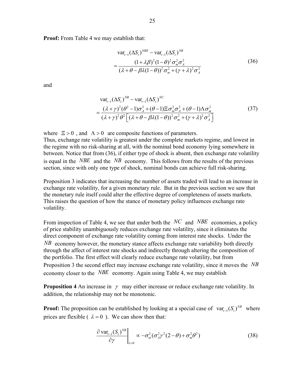**Proof:** From Table 4 we may establish that:

$$
\operatorname{var}_{t-1}(\Delta S_t)^{NBE} - \operatorname{var}_{t-1}(\Delta S_t)^{NB}
$$
  
= 
$$
\frac{(1 + \lambda \beta)^2 (1 - \theta)^2 \sigma_m^2 \sigma_A^2}{(\lambda + \theta - \beta \lambda (1 - \theta))^2 \sigma_m^2 + (\gamma + \lambda)^2 \sigma_A^2}
$$
(36)

and

$$
\operatorname{var}_{t-1}(\Delta S_t)^{NB} - \operatorname{var}_{t-1}(\Delta S_t)^{NC}
$$
  
= 
$$
\frac{(\lambda + \gamma)^2 (\theta^2 - 1)\sigma_A^2 + (\theta - 1)\Xi \sigma_m^2 \sigma_A^2 + (\theta - 1)\Lambda \sigma_m^2}{(\lambda + \gamma)^2 \theta^2 \Big[ (\lambda + \theta - \beta \lambda (1 - \theta))^2 \sigma_m^2 + (\gamma + \lambda)^2 \sigma_A^2 \Big]}
$$
(37)

where  $\Xi > 0$ , and  $\Lambda > 0$  are composite functions of parameters. Thus, exchange rate volatility is greatest under the complete markets regime, and lowest in the regime with no risk-sharing at all, with the nominal bond economy lying somewhere in between. Notice that from (36), if either type of shock is absent, then exchange rate volatility is equal in the *NBE* and the *NB* economy. This follows from the results of the previous section, since with only one type of shock, nominal bonds can achieve full risk-sharing.

Proposition 3 indicates that increasing the number of assets traded will lead to an increase in exchange rate volatility, for a given monetary rule. But in the previous section we saw that the monetary rule itself could alter the effective degree of completeness of assets markets. This raises the question of how the stance of monetary policy influences exchange rate volatility.

From inspection of Table 4, we see that under both the *NC* and *NBE* economies, a policy of price stability unambiguously reduces exchange rate volatility, since it eliminates the direct component of exchange rate volatility coming from interest rate shocks. Under the *NB* economy however, the monetary stance affects exchange rate variability both directly through the affect of interest rate shocks and indirectly through altering the composition of the portfolio. The first effect will clearly reduce exchange rate volatility, but from Proposition 3 the second effect may increase exchange rate volatility, since it moves the *NB* economy closer to the *NBE* economy. Again using Table 4, we may establish

**Proposition 4** An increase in  $\gamma$  may either increase or reduce exchange rate volatility. In addition, the relationship may not be monotonic.

**Proof:** The proposition can be established by looking at a special case of  $var_{t-1}(S_t)^{NB}$  where prices are flexible ( $\lambda = 0$ ). We can show then that:

$$
\left. \frac{\partial \operatorname{var}_{t-1}(S_t)^{NB}}{\partial \gamma} \right|_{\lambda=0} \propto -\sigma_m^2 (\sigma_A^2 \gamma^2 (2-\theta) + \sigma_m^2 \theta^2)
$$
 (38)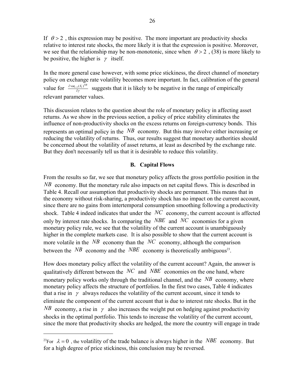If  $\theta > 2$ , this expression may be positive. The more important are productivity shocks relative to interest rate shocks, the more likely it is that the expression is positive. Moreover, we see that the relationship may be non-monotonic, since when  $\theta > 2$ , (38) is more likely to be positive, the higher is  $\gamma$  itself.

In the more general case however, with some price stickiness, the direct channel of monetary policy on exchange rate volatility becomes more important. In fact, calibration of the general value for  $\frac{\partial \text{var}_{t-1} (S_t)^{NB}}{\partial \gamma}$  $\frac{\partial \text{var}_{t-1}(S_t)^{NS}}{\partial \gamma}$  suggests that it is likely to be negative in the range of empirically relevant parameter values.

This discussion relates to the question about the role of monetary policy in affecting asset returns. As we show in the previous section, a policy of price stability eliminates the influence of non-productivity shocks on the excess returns on foreign-currency bonds. This represents an optimal policy in the *NB* economy. But this may involve either increasing or reducing the volatility of returns. Thus, our results suggest that monetary authorities should be concerned about the volatility of asset returns, at least as described by the exchange rate. But they don't necessarily tell us that it is desirable to reduce this volatility.

## **B. Capital Flows**

From the results so far, we see that monetary policy affects the gross portfolio position in the *NB* economy. But the monetary rule also impacts on net capital flows. This is described in Table 4. Recall our assumption that productivity shocks are permanent. This means that in the economy without risk-sharing, a productivity shock has no impact on the current account, since there are no gains from intertemporal consumption smoothing following a productivity shock. Table 4 indeed indicates that under the *NC* economy, the current account is affected only by interest rate shocks. In comparing the *NBE* and *NC* economies for a given monetary policy rule, we see that the volatility of the current account is unambiguously higher in the complete markets case. It is also possible to show that the current account is more volatile in the  $NB$  economy than the  $NC$  economy, although the comparison between the *NB* economy and the *NBE* economy is theoretically ambiguous<sup>23</sup>.

How does monetary policy affect the volatility of the current account? Again, the answer is qualitatively different between the *NC* and *NBE* economies on the one hand, where monetary policy works only through the traditional channel, and the *NB* economy, where monetary policy affects the structure of portfolios. In the first two cases, Table 4 indicates that a rise in  $\gamma$  always reduces the volatility of the current account, since it tends to eliminate the component of the current account that is due to interest rate shocks. But in the *NB* economy, a rise in  $\gamma$  also increases the weight put on hedging against productivity shocks in the optimal portfolio. This tends to increase the volatility of the current account, since the more that productivity shocks are hedged, the more the country will engage in trade

 $\overline{a}$ 

<sup>&</sup>lt;sup>23</sup>For  $\lambda = 0$ , the volatility of the trade balance is always higher in the *NBE* economy. But for a high degree of price stickiness, this conclusion may be reversed.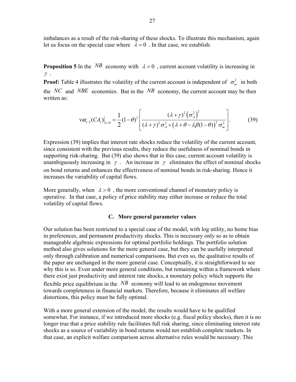imbalances as a result of the risk-sharing of these shocks. To illustrate this mechanism, again let us focus on the special case where  $\lambda = 0$ . In that case, we establish:

**Proposition 5** In the *NB* economy with  $\lambda = 0$ , current account volatility is increasing in  $\gamma$ .

**Proof:** Table 4 illustrates the volatility of the current account is independent of  $\sigma_m^2$  in both the *NC* and *NBE* economies. But in the *NB* economy, the current account may be then written as:

$$
\text{var}_{t-1}(CA_t)|_{\lambda=0} = \frac{1}{2}(1-\theta)^2 \left[ \frac{(\lambda + \gamma)^2 (\sigma_A^2)^2}{(\lambda + \gamma)^2 \sigma_A^2 + (\lambda + \theta - \lambda \beta (1-\theta))^2 \sigma_m^2} \right].
$$
 (39)

Expression (39) implies that interest rate shocks reduce the volatility of the current account, since consistent with the previous results, they reduce the usefulness of nominal bonds in supporting risk-sharing. But (39) also shows that in this case, current account volatility is unambiguously increasing in  $\gamma$ . An increase in  $\gamma$  eliminates the effect of nominal shocks on bond returns and enhances the effectiveness of nominal bonds in risk-sharing. Hence it increases the variability of capital flows.

More generally, when  $\lambda > 0$ , the more conventional channel of monetary policy is operative. In that case, a policy of price stability may either increase or reduce the total volatility of capital flows.

## **C. More general parameter values**

Our solution has been restricted to a special case of the model, with log utility, no home bias in preferences, and permanent productivity shocks. This is necessary only so as to obtain manageable algebraic expressions for optimal portfolio holdings. The portfolio solution method also gives solutions for the more general case, but they can be usefully interpreted only through calibration and numerical comparisons. But even so, the qualitative results of the paper are unchanged in the more general case. Conceptually, it is straightforward to see why this is so. Even under more general conditions, but remaining within a framework where there exist just productivity and interest rate shocks, a monetary policy which supports the flexible price equilibrium in the *NB* economy will lead to an endogenous movement towards completeness in financial markets. Therefore, because it eliminates all welfare distortions, this policy must be fully optimal.

With a more general extension of the model, the results would have to be qualified somewhat. For instance, if we introduced more shocks (e.g. fiscal policy shocks), then it is no longer true that a price stability rule facilitates full risk sharing, since eliminating interest rate shocks as a source of variability in bond returns would not establish complete markets. In that case, an explicit welfare comparison across alternative rules would be necessary. This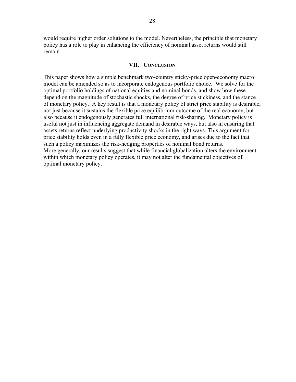would require higher order solutions to the model. Nevertheless, the principle that monetary policy has a role to play in enhancing the efficiency of nominal asset returns would still remain.

## **VII. CONCLUSION**

This paper shows how a simple benchmark two-country sticky-price open-economy macro model can be amended so as to incorporate endogenous portfolio choice. We solve for the optimal portfolio holdings of national equities and nominal bonds, and show how these depend on the magnitude of stochastic shocks, the degree of price stickiness, and the stance of monetary policy. A key result is that a monetary policy of strict price stability is desirable, not just because it sustains the flexible price equilibrium outcome of the real economy, but also because it endogenously generates full international risk-sharing. Monetary policy is useful not just in influencing aggregate demand in desirable ways, but also in ensuring that assets returns reflect underlying productivity shocks in the right ways. This argument for price stability holds even in a fully flexible price economy, and arises due to the fact that such a policy maximizes the risk-hedging properties of nominal bond returns. More generally, our results suggest that while financial globalization alters the environment within which monetary policy operates, it may not alter the fundamental objectives of optimal monetary policy.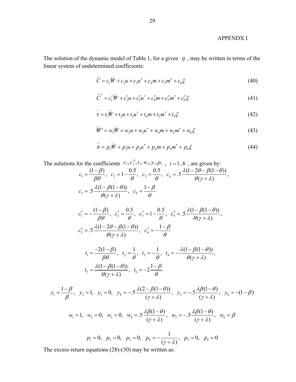## APPENDX I

The solution of the dynamic model of Table 1, for a given  $\eta$ , may be written in terms of the linear system of undetermined coefficients:

$$
\widehat{C} = c_1 \overline{W} + c_2 u + c_3 u^* + c_4 m + c_5 m^* + c_6 \xi
$$
\n(40)

$$
\widehat{C}^* = c_1^* \overline{W} + c_2^* u + c_3^* u^* + c_4^* m + c_5^* m^* + c_6^* \xi
$$
\n(41)

$$
\hat{\tau} = t_1 \overline{W} + t_2 u + t_3 u^* + t_4 m + t_5 m^* + t_6 \xi
$$
\n(42)

$$
\overline{W}' = w_1 \overline{W} + w_2 u + w_3 u^* + w_4 m + w_5 m^* + w_6 \xi
$$
\n(43)

$$
\widehat{\pi} = p_1 \widehat{W} + p_2 u + p_3 u^* + p_4 m + p_5 m^* + p_6 \xi \tag{44}
$$

The solutions for the coefficients  $c_i, c_i^*$ ,  $t_i, w_i, y_i, p_i$ ,  $i = 1..6$ , are given by:

$$
c_1 = \frac{(1 - \beta)}{\beta \theta}, \quad c_2 = 1 - \frac{0.5}{\theta}, \quad c_3 = \frac{0.5}{\theta}, \quad c_4 = .5 \frac{\lambda (1 - 2\theta - \beta (1 - \theta))}{\theta (\gamma + \lambda)},
$$

$$
c_5 = .5 \frac{\lambda (1 - \beta (1 - \theta))}{\theta (\gamma + \lambda)}, \quad c_6 = \frac{1 - \beta}{\theta}
$$

$$
c_1^* = -\frac{(1-\beta)}{\beta \theta}, \quad c_2^* = \frac{0.5}{\theta}, \quad c_3^* = 1 - \frac{0.5}{\theta}, \quad c_4^* = .5 \frac{\lambda (1 - \beta (1 - \theta))}{\theta (\gamma + \lambda)},
$$
  

$$
c_5^* = .5 \frac{\lambda (1 - 2\theta - \beta (1 - \theta))}{\theta (\gamma + \lambda)}, \quad c_6^* = -\frac{1 - \beta}{\theta}
$$

$$
t_1 = \frac{-2(1-\beta)}{\beta \theta}, \quad t_2 = \frac{1}{\theta}, \quad t_3 = -\frac{1}{\theta}, \quad t_4 = -\frac{\lambda(1-\beta(1-\theta))}{\theta(\gamma+\lambda)},
$$

$$
t_5 = \frac{\lambda(1-\beta(1-\theta))}{\theta(\gamma+\lambda)}, \quad t_6 = -2\frac{1-\beta}{\theta}
$$

$$
y_1 = \frac{1-\beta}{\beta}
$$
,  $y_2 = 1$ ,  $y_3 = 0$ ,  $y_4 = -0.5 \frac{\lambda(2-\beta(1-\theta))}{(\gamma+\lambda)}$ ,  $y_5 = -0.5 \frac{\lambda\beta(1-\theta)}{(\gamma+\lambda)}$ ,  $y_6 = -(1-\beta) \frac{\lambda\beta(1-\theta)}{(\gamma+\lambda)}$ 

$$
w_1 = 1
$$
,  $w_2 = 0$ ,  $w_3 = 0$ ,  $w_4 = .5 \frac{\lambda \beta (1 - \theta)}{(\gamma + \lambda)}$ ,  $w_5 = -.5 \frac{\lambda \beta (1 - \theta)}{(\gamma + \lambda)}$ ,  $w_6 = \beta$ 

$$
p_1 = 0
$$
,  $p_2 = 0$ ,  $p_3 = 0$ ,  $p_4 = -\frac{1}{(\gamma + \lambda)}$ ,  $p_5 = 0$ ,  $p_6 = 0$ 

The excess return equations (28)-(30) may be written as: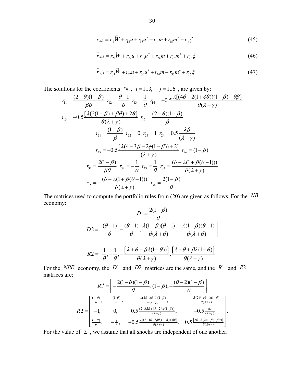$$
\hat{r}_{x,1} = r_{11}\overline{W} + r_{12}u + r_{13}u^* + r_{14}m + r_{15}m^* + r_{16}\xi
$$
\n(45)

$$
\hat{r}_{x,2} = r_{21}\overline{W} + r_{22}u + r_{23}u^* + r_{24}m + r_{25}m^* + r_{26}\xi
$$
\n(46)

$$
\hat{r}_{x,3} = r_{31}\overline{W} + r_{32}u + r_{33}u^* + r_{34}m + r_{35}m^* + r_{36}\xi
$$
\n(47)

The solutions for the coefficients  $r_{ij}$ ,  $i = 1..3$ ,  $j = 1..6$ , are given by:

$$
r_{11} = \frac{(2-\theta)(1-\beta)}{\beta\theta} \ r_{12} = \frac{\theta-1}{\theta} \ r_{13} = \frac{1}{\theta} \ r_{14} = -0.5 \frac{\lambda[(4\theta-2(1+\phi\theta))(1-\beta)-\theta\beta]}{\theta(\lambda+\gamma)}
$$
  
\n
$$
r_{15} = -0.5 \frac{[\lambda(2(1-\beta)+\beta\theta)+2\theta]}{\theta(\lambda+\gamma)} \ r_{16} = \frac{(2-\theta)(1-\beta)}{\beta}
$$
  
\n
$$
r_{21} = \frac{(1-\beta)}{\beta} \ r_{22} = 0 \ r_{23} = 1 \ r_{24} = 0.5 \frac{\lambda\beta}{(\lambda+\gamma)}
$$
  
\n
$$
r_{25} = -0.5 \frac{[\lambda(4-3\beta-2\phi(1-\beta))+2]}{(\lambda+\gamma)} \ r_{26} = (1-\beta)
$$
  
\n
$$
r_{31} = \frac{2(1-\beta)}{\beta\theta} \ r_{32} = -\frac{1}{\theta} \ r_{33} = \frac{1}{\theta} \ r_{34} = \frac{(\theta+\lambda(1+\beta(\theta-1)))}{\theta(\lambda+\gamma)}
$$
  
\n
$$
r_{35} = -\frac{(\theta+\lambda(1+\beta(\theta-1)))}{\theta(\lambda+\gamma)} \ r_{36} = \frac{2(1-\beta)}{\theta}
$$

The matrices used to compute the portfolio rules from (20) are given as follows. For the *NB* economy:  $2(1-\alpha)$ 

$$
D1 = \frac{2(1-\beta)}{\theta}
$$

$$
D2 = \left[ \frac{(\theta - 1)}{\theta}, -\frac{(\theta - 1)}{\theta}, \frac{\lambda(1-\beta)(\theta - 1)}{\theta(\lambda + \theta)}, \frac{-\lambda(1-\beta)(\theta - 1)}{\theta(\lambda + \theta)} \right]
$$

$$
R2 = \left[ \frac{1}{\theta}, -\frac{1}{\theta}, -\frac{[\lambda + \theta + \beta\lambda(1-\theta))]}{\theta(\lambda + \gamma)}, \frac{[\lambda + \theta + \beta\lambda(1-\theta)]}{\theta(\lambda + \gamma)} \right]
$$

For the *NBE* economy, the *D*1 and *D*2 matrices are the same, and the *R*1 and *R*2 matrices are:

$$
R1' = \left[ -\frac{2(1-\theta)(1-\beta)}{\theta}, (1-\beta), -\frac{(\theta-2)(1-\beta)}{\theta} \right]
$$
  
\n
$$
R2 = \begin{bmatrix} \frac{(1-\theta)}{\theta}, & -\frac{(1-\theta)}{\theta}, & \frac{\lambda(2\theta-\phi\theta-1)(1-\beta)}{\theta(\lambda+\gamma)}, & -\frac{\lambda(2\theta-\phi\theta-1)(1-\beta)}{\theta(\lambda+\gamma)} \\ -1, & 0, & 0.5\frac{(2-3\lambda\beta+4\lambda-2\lambda\phi(1-\beta))}{(\lambda+\gamma)}, & -0.5\frac{\beta\lambda}{(\lambda+\gamma)} \\ \frac{(1-\theta)}{\theta}, & -\frac{1}{\theta}, & -0.5\frac{\lambda[(2-4\theta+2\phi\theta)(1-\beta)+\beta\theta]}{\theta(\lambda+\gamma)}, & 0.5\frac{[2\theta+\lambda(2(1-\beta)+\beta\theta)]}{\theta(\lambda+\gamma)} \end{bmatrix}.
$$

For the value of  $\Sigma$ , we assume that all shocks are independent of one another.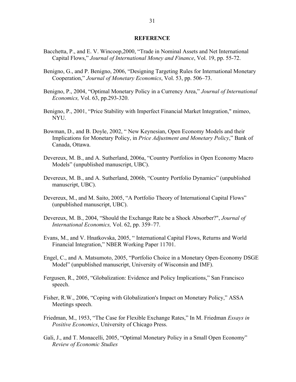## **REFERENCE**

- Bacchetta, P., and E. V. Wincoop,2000, "Trade in Nominal Assets and Net International Capital Flows," *Journal of International Money and Finance*, Vol. 19, pp. 55-72.
- Benigno, G., and P. Benigno, 2006, "Designing Targeting Rules for International Monetary Cooperation," *Journal of Monetary Economics*, Vol. 53, pp. 506–73.
- Benigno, P., 2004, "Optimal Monetary Policy in a Currency Area," *Journal of International Economics,* Vol. 63, pp.293-320.
- Benigno, P., 2001, "Price Stability with Imperfect Financial Market Integration," mimeo, NYU.
- Bowman, D., and B. Doyle, 2002, " New Keynesian, Open Economy Models and their Implications for Monetary Policy, in *Price Adjustment and Monetary Policy*," Bank of Canada, Ottawa.
- Devereux, M. B., and A. Sutherland, 2006a, "Country Portfolios in Open Economy Macro Models" (unpublished manuscript, UBC).
- Devereux, M. B., and A. Sutherland, 2006b, "Country Portfolio Dynamics" (unpublished manuscript, UBC).
- Devereux, M., and M. Saito, 2005, "A Portfolio Theory of International Capital Flows" (unpublished manuscript, UBC).
- Devereux, M. B., 2004, "Should the Exchange Rate be a Shock Absorber?", *Journal of International Economics,* Vol. 62, pp. 359–77.
- Evans, M., and V. Hnatkovska, 2005, " International Capital Flows, Returns and World Financial Integration," NBER Working Paper 11701.
- Engel, C., and A. Matsumoto, 2005, "Portfolio Choice in a Monetary Open-Economy DSGE Model" (unpublished manuscript, University of Wisconsin and IMF).
- Fergusen, R., 2005, "Globalization: Evidence and Policy Implications," San Francisco speech.
- Fisher, R.W., 2006, "Coping with Globalization's Impact on Monetary Policy," ASSA Meetings speech.
- Friedman, M., 1953, "The Case for Flexible Exchange Rates," In M. Friedman *Essays in Positive Economics*, University of Chicago Press.
- Gali, J., and T. Monacelli, 2005, "Optimal Monetary Policy in a Small Open Economy" *Review of Economic Studies*